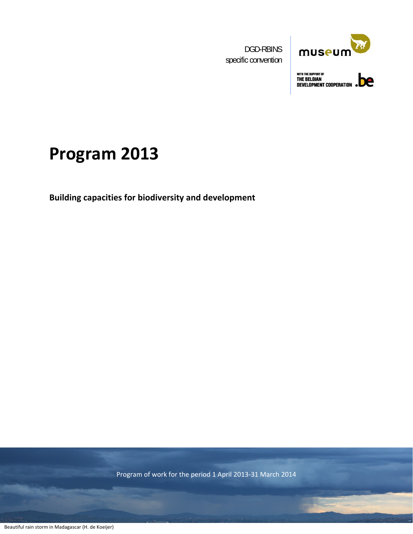DGD-RBINS specific convention



WITH THE SUPPORT OF<br>THE BELGIAN<br>DEVELOPMENT COOPERATION

# **Program 2013**

**Building capacities for biodiversity and development**

Program of work for the period 1 April 2013‐31 March 2014

**1979 - Paul Barbara, Maria Barbara, ampia ang katalog ang pangalang ang pangalang ang pangalang ang pangalang**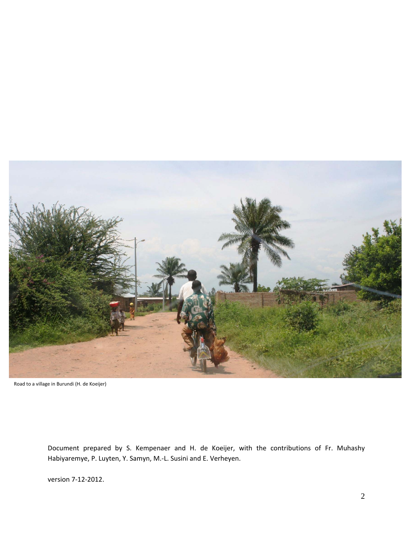

Road to a village in Burundi (H. de Koeijer)

Document prepared by S. Kempenaer and H. de Koeijer, with the contributions of Fr. Muhashy Habiyaremye, P. Luyten, Y. Samyn, M.‐L. Susini and E. Verheyen.

version 7‐12‐2012.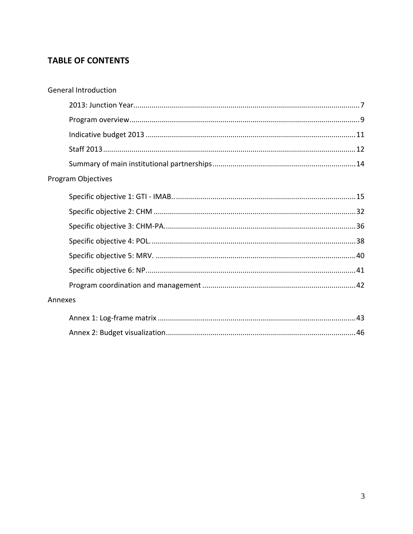### **TABLE OF CONTENTS**

| <b>General Introduction</b> |  |
|-----------------------------|--|
|                             |  |
|                             |  |
|                             |  |
|                             |  |
|                             |  |
| Program Objectives          |  |
|                             |  |
|                             |  |
|                             |  |
|                             |  |
|                             |  |
|                             |  |
|                             |  |
| Annexes                     |  |
|                             |  |
|                             |  |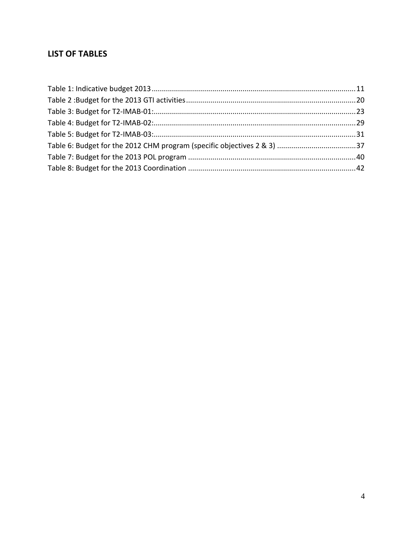### **LIST OF TABLES**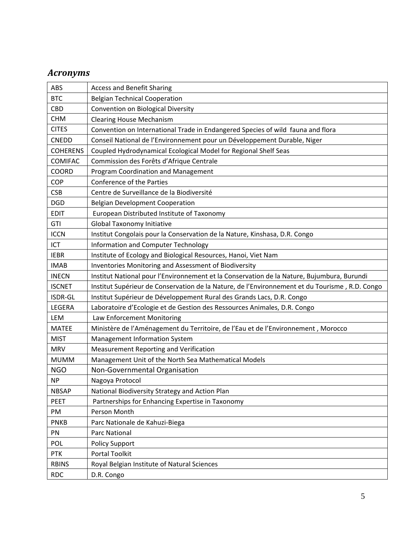### *Acronyms*

| ABS             | <b>Access and Benefit Sharing</b>                                                              |
|-----------------|------------------------------------------------------------------------------------------------|
| <b>BTC</b>      | <b>Belgian Technical Cooperation</b>                                                           |
| CBD             | Convention on Biological Diversity                                                             |
| <b>CHM</b>      | <b>Clearing House Mechanism</b>                                                                |
| <b>CITES</b>    | Convention on International Trade in Endangered Species of wild fauna and flora                |
| <b>CNEDD</b>    | Conseil National de l'Environnement pour un Développement Durable, Niger                       |
| <b>COHERENS</b> | Coupled Hydrodynamical Ecological Model for Regional Shelf Seas                                |
| <b>COMIFAC</b>  | Commission des Forêts d'Afrique Centrale                                                       |
| <b>COORD</b>    | Program Coordination and Management                                                            |
| COP             | Conference of the Parties                                                                      |
| <b>CSB</b>      | Centre de Surveillance de la Biodiversité                                                      |
| <b>DGD</b>      | <b>Belgian Development Cooperation</b>                                                         |
| <b>EDIT</b>     | European Distributed Institute of Taxonomy                                                     |
| GTI             | <b>Global Taxonomy Initiative</b>                                                              |
| <b>ICCN</b>     | Institut Congolais pour la Conservation de la Nature, Kinshasa, D.R. Congo                     |
| ICT             | Information and Computer Technology                                                            |
| <b>IEBR</b>     | Institute of Ecology and Biological Resources, Hanoi, Viet Nam                                 |
| <b>IMAB</b>     | Inventories Monitoring and Assessment of Biodiversity                                          |
| <b>INECN</b>    | Institut National pour l'Environnement et la Conservation de la Nature, Bujumbura, Burundi     |
| <b>ISCNET</b>   | Institut Supérieur de Conservation de la Nature, de l'Environnement et du Tourisme, R.D. Congo |
| ISDR-GL         | Institut Supérieur de Développement Rural des Grands Lacs, D.R. Congo                          |
| LEGERA          | Laboratoire d'Ecologie et de Gestion des Ressources Animales, D.R. Congo                       |
| LEM             | Law Enforcement Monitoring                                                                     |
| <b>MATEE</b>    | Ministère de l'Aménagement du Territoire, de l'Eau et de l'Environnement, Morocco              |
| <b>MIST</b>     | Management Information System                                                                  |
| <b>MRV</b>      | Measurement Reporting and Verification                                                         |
| <b>MUMM</b>     | Management Unit of the North Sea Mathematical Models                                           |
| <b>NGO</b>      | Non-Governmental Organisation                                                                  |
| <b>NP</b>       | Nagoya Protocol                                                                                |
| <b>NBSAP</b>    | National Biodiversity Strategy and Action Plan                                                 |
| <b>PEET</b>     | Partnerships for Enhancing Expertise in Taxonomy                                               |
| PM              | Person Month                                                                                   |
| <b>PNKB</b>     | Parc Nationale de Kahuzi-Biega                                                                 |
| PN              | Parc National                                                                                  |
| POL             | <b>Policy Support</b>                                                                          |
| <b>PTK</b>      | Portal Toolkit                                                                                 |
| <b>RBINS</b>    | Royal Belgian Institute of Natural Sciences                                                    |
| <b>RDC</b>      | D.R. Congo                                                                                     |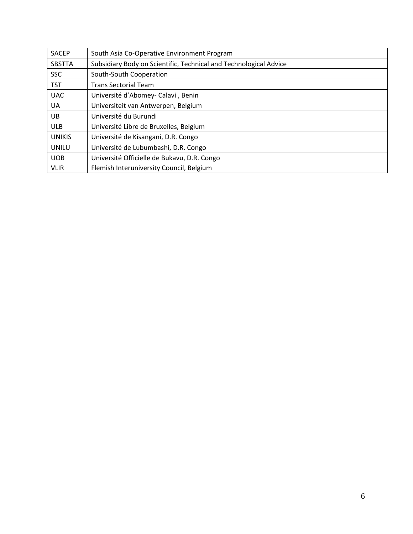| <b>SACEP</b>  | South Asia Co-Operative Environment Program                       |
|---------------|-------------------------------------------------------------------|
| <b>SBSTTA</b> | Subsidiary Body on Scientific, Technical and Technological Advice |
| <b>SSC</b>    | South-South Cooperation                                           |
| <b>TST</b>    | <b>Trans Sectorial Team</b>                                       |
| <b>UAC</b>    | Université d'Abomey- Calavi, Benin                                |
| UA            | Universiteit van Antwerpen, Belgium                               |
| UB            | Université du Burundi                                             |
| <b>ULB</b>    | Université Libre de Bruxelles, Belgium                            |
| <b>UNIKIS</b> | Université de Kisangani, D.R. Congo                               |
| UNILU         | Université de Lubumbashi, D.R. Congo                              |
| <b>UOB</b>    | Université Officielle de Bukavu, D.R. Congo                       |
| <b>VLIR</b>   | Flemish Interuniversity Council, Belgium                          |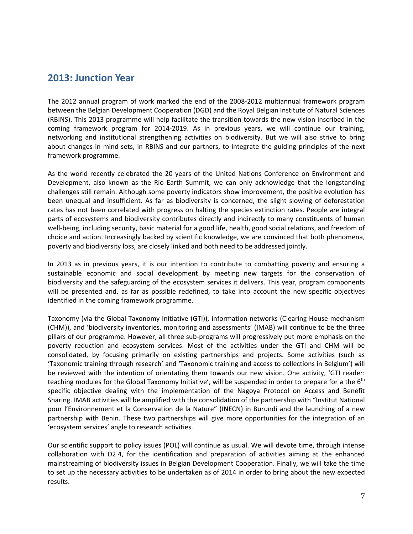### **2013: Junction Year**

The 2012 annual program of work marked the end of the 2008‐2012 multiannual framework program between the Belgian Development Cooperation (DGD) and the Royal Belgian Institute of Natural Sciences (RBINS). This 2013 programme will help facilitate the transition towards the new vision inscribed in the coming framework program for 2014‐2019. As in previous years, we will continue our training, networking and institutional strengthening activities on biodiversity. But we will also strive to bring about changes in mind‐sets, in RBINS and our partners, to integrate the guiding principles of the next framework programme.

As the world recently celebrated the 20 years of the United Nations Conference on Environment and Development, also known as the Rio Earth Summit, we can only acknowledge that the longstanding challenges still remain. Although some poverty indicators show improvement, the positive evolution has been unequal and insufficient. As far as biodiversity is concerned, the slight slowing of deforestation rates has not been correlated with progress on halting the species extinction rates. People are integral parts of ecosystems and biodiversity contributes directly and indirectly to many constituents of human well-being, including security, basic material for a good life, health, good social relations, and freedom of choice and action. Increasingly backed by scientific knowledge, we are convinced that both phenomena, poverty and biodiversity loss, are closely linked and both need to be addressed jointly.

In 2013 as in previous years, it is our intention to contribute to combatting poverty and ensuring a sustainable economic and social development by meeting new targets for the conservation of biodiversity and the safeguarding of the ecosystem services it delivers. This year, program components will be presented and, as far as possible redefined, to take into account the new specific objectives identified in the coming framework programme.

Taxonomy (via the Global Taxonomy Initiative (GTI)), information networks (Clearing House mechanism (CHM)), and 'biodiversity inventories, monitoring and assessments' (IMAB) will continue to be the three pillars of our programme. However, all three sub‐programs will progressively put more emphasis on the poverty reduction and ecosystem services. Most of the activities under the GTI and CHM will be consolidated, by focusing primarily on existing partnerships and projects. Some activities (such as 'Taxonomic training through research' and 'Taxonomic training and access to collections in Belgium') will be reviewed with the intention of orientating them towards our new vision. One activity, 'GTI reader: teaching modules for the Global Taxonomy Initiative', will be suspended in order to prepare for a the  $6<sup>th</sup>$ specific objective dealing with the implementation of the Nagoya Protocol on Access and Benefit Sharing. IMAB activities will be amplified with the consolidation of the partnership with "Institut National pour l'Environnement et la Conservation de la Nature" (INECN) in Burundi and the launching of a new partnership with Benin. These two partnerships will give more opportunities for the integration of an 'ecosystem services' angle to research activities.

Our scientific support to policy issues (POL) will continue as usual. We will devote time, through intense collaboration with D2.4, for the identification and preparation of activities aiming at the enhanced mainstreaming of biodiversity issues in Belgian Development Cooperation. Finally, we will take the time to set up the necessary activities to be undertaken as of 2014 in order to bring about the new expected results.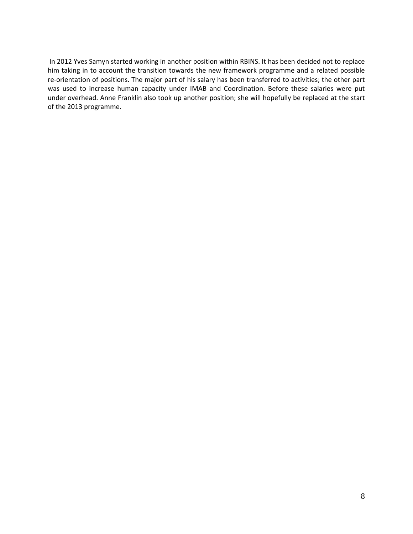In 2012 Yves Samyn started working in another position within RBINS. It has been decided not to replace him taking in to account the transition towards the new framework programme and a related possible re‐orientation of positions. The major part of his salary has been transferred to activities; the other part was used to increase human capacity under IMAB and Coordination. Before these salaries were put under overhead. Anne Franklin also took up another position; she will hopefully be replaced at the start of the 2013 programme.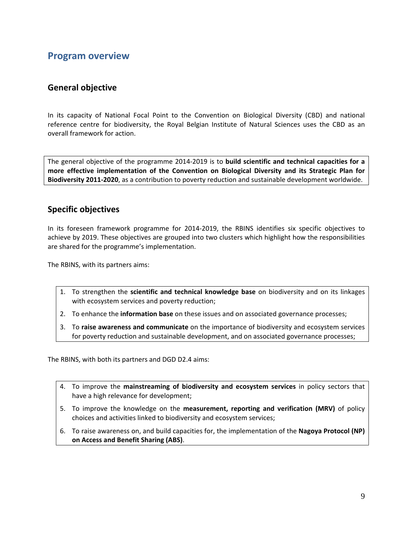### **Program overview**

#### **General objective**

In its capacity of National Focal Point to the Convention on Biological Diversity (CBD) and national reference centre for biodiversity, the Royal Belgian Institute of Natural Sciences uses the CBD as an overall framework for action.

The general objective of the programme 2014‐2019 is to **build scientific and technical capacities for a more effective implementation of the Convention on Biological Diversity and its Strategic Plan for Biodiversity 2011‐2020**, as a contribution to poverty reduction and sustainable development worldwide.

#### **Specific objectives**

In its foreseen framework programme for 2014‐2019, the RBINS identifies six specific objectives to achieve by 2019. These objectives are grouped into two clusters which highlight how the responsibilities are shared for the programme's implementation.

The RBINS, with its partners aims:

- 1. To strengthen the **scientific and technical knowledge base** on biodiversity and on its linkages with ecosystem services and poverty reduction;
- 2. To enhance the **information base** on these issues and on associated governance processes;
- 3. To **raise awareness and communicate** on the importance of biodiversity and ecosystem services for poverty reduction and sustainable development, and on associated governance processes;

The RBINS, with both its partners and DGD D2.4 aims:

- 4. To improve the **mainstreaming of biodiversity and ecosystem services** in policy sectors that have a high relevance for development;
- 5. To improve the knowledge on the **measurement, reporting and verification (MRV)** of policy choices and activities linked to biodiversity and ecosystem services;
- 6. To raise awareness on, and build capacities for, the implementation of the **Nagoya Protocol (NP) on Access and Benefit Sharing (ABS)**.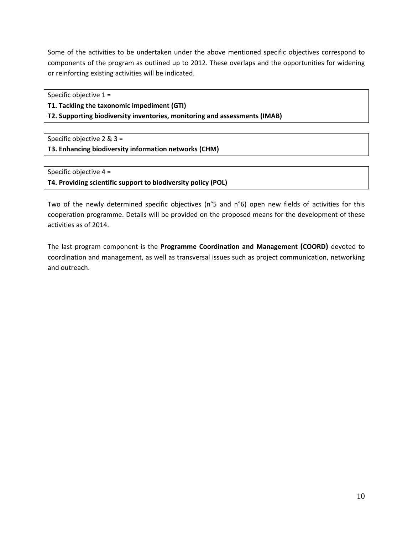Some of the activities to be undertaken under the above mentioned specific objectives correspond to components of the program as outlined up to 2012. These overlaps and the opportunities for widening or reinforcing existing activities will be indicated.

Specific objective 1 =

**T1. Tackling the taxonomic impediment (GTI)**

**T2. Supporting biodiversity inventories, monitoring and assessments (IMAB)**

Specific objective 2 & 3 = **T3. Enhancing biodiversity information networks (CHM)**

Specific objective 4 = **T4. Providing scientific support to biodiversity policy (POL)**

Two of the newly determined specific objectives (n°5 and n°6) open new fields of activities for this cooperation programme. Details will be provided on the proposed means for the development of these activities as of 2014.

The last program component is the **Programme Coordination and Management (COORD)** devoted to coordination and management, as well as transversal issues such as project communication, networking and outreach.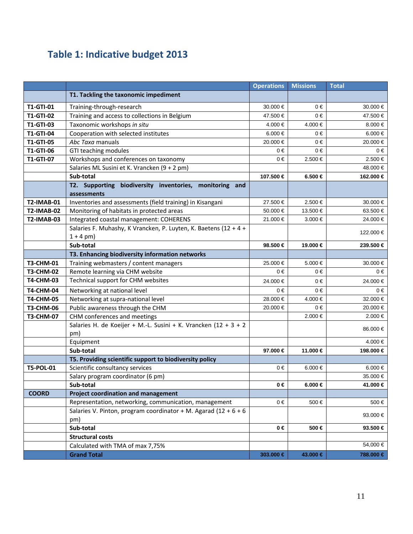## **Table 1: Indicative budget 2013**

|                   |                                                                                            | <b>Operations</b> | <b>Missions</b> | <b>Total</b> |
|-------------------|--------------------------------------------------------------------------------------------|-------------------|-----------------|--------------|
|                   | T1. Tackling the taxonomic impediment                                                      |                   |                 |              |
| T1-GTI-01         | Training-through-research                                                                  | 30.000 €          | $0 \in$         | 30.000€      |
| <b>T1-GTI-02</b>  | Training and access to collections in Belgium                                              | 47.500 €          | $0 \in$         | 47.500 €     |
| <b>T1-GTI-03</b>  | Taxonomic workshops in situ                                                                | 4.000 €           | 4.000 €         | 8.000 $\in$  |
| T1-GTI-04         | Cooperation with selected institutes                                                       | 6.000 €           | $0 \in$         | 6.000 €      |
| <b>T1-GTI-05</b>  | Abc Taxa manuals                                                                           | 20.000 €          | $0 \in$         | 20.000 €     |
| <b>T1-GTI-06</b>  | GTI teaching modules                                                                       | $0 \in$           | $0 \in$         | $0 \in$      |
| T1-GTI-07         | Workshops and conferences on taxonomy                                                      | $0 \in$           | 2.500 €         | 2.500 €      |
|                   | Salaries ML Susini et K. Vrancken (9 + 2 pm)                                               |                   |                 | 48.000 €     |
|                   | Sub-total                                                                                  | 107.500 €         | 6.500 €         | 162.000 €    |
|                   | T2. Supporting biodiversity inventories, monitoring and<br>assessments                     |                   |                 |              |
| <b>T2-IMAB-01</b> | Inventories and assessments (field training) in Kisangani                                  | 27.500 €          | 2.500 €         | 30.000 €     |
| <b>T2-IMAB-02</b> | Monitoring of habitats in protected areas                                                  | 50.000 €          | 13.500 €        | 63.500 €     |
| <b>T2-IMAB-03</b> | Integrated coastal management: COHERENS                                                    | 21.000 €          | 3.000 €         | 24.000 €     |
|                   | Salaries F. Muhashy, K Vrancken, P. Luyten, K. Baetens (12 + 4 +                           |                   |                 |              |
|                   | $1 + 4$ pm)                                                                                |                   |                 | 122.000 €    |
|                   | Sub-total                                                                                  | 98.500 €          | 19.000 €        | 239.500 €    |
|                   | T3. Enhancing biodiversity information networks                                            |                   |                 |              |
| T3-CHM-01         | Training webmasters / content managers                                                     | 25.000 €          | 5.000 €         | 30.000 €     |
| <b>T3-CHM-02</b>  | Remote learning via CHM website                                                            | $0 \in$           | 0€              | 0€           |
| <b>T4-CHM-03</b>  | Technical support for CHM websites                                                         | 24.000 €          | $0 \in$         | 24.000 €     |
| <b>T4-CHM-04</b>  | Networking at national level                                                               | $0 \in$           | $0 \in$         | 0€           |
| <b>T4-CHM-05</b>  | Networking at supra-national level                                                         | 28.000 €          | 4.000 €         | 32.000 €     |
| <b>T3-CHM-06</b>  | Public awareness through the CHM                                                           | 20.000 €          | $0 \in$         | 20.000 €     |
| <b>T3-CHM-07</b>  | CHM conferences and meetings                                                               |                   | 2.000 €         | 2.000 €      |
|                   | Salaries H. de Koeijer + M.-L. Susini + K. Vrancken (12 + 3 + 2                            |                   |                 | 86.000 €     |
|                   | pm)                                                                                        |                   |                 |              |
|                   | Equipment                                                                                  |                   |                 | 4.000 €      |
|                   | Sub-total                                                                                  | 97.000 €          | 11.000 €        | 198.000 €    |
| T5-POL-01         | T5. Providing scientific support to biodiversity policy<br>Scientific consultancy services | $0 \in$           | 6.000 €         | 6.000 €      |
|                   | Salary program coordinator (6 pm)                                                          |                   |                 | 35.000 €     |
|                   | Sub-total                                                                                  | $0 \in$           | 6.000 €         | 41.000 €     |
| <b>COORD</b>      | <b>Project coordination and management</b>                                                 |                   |                 |              |
|                   | Representation, networking, communication, management                                      | $0 \in$           | 500€            | 500€         |
|                   | Salaries V. Pinton, program coordinator + M. Agarad (12 + $6 + 6$ )                        |                   |                 |              |
|                   | pm)                                                                                        |                   |                 | 93.000 €     |
|                   | Sub-total                                                                                  | $0 \in$           | 500 €           | 93.500 €     |
|                   | <b>Structural costs</b>                                                                    |                   |                 |              |
|                   | Calculated with TMA of max 7,75%                                                           |                   |                 | 54,000 €     |
|                   | <b>Grand Total</b>                                                                         | 303.000 €         | 43.000 €        | 788.000 €    |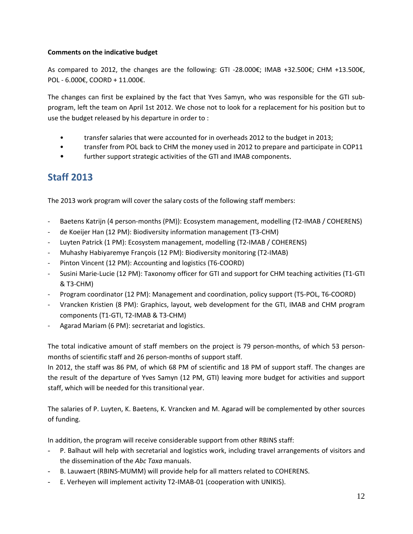#### **Comments on the indicative budget**

As compared to 2012, the changes are the following: GTI ‐28.000€; IMAB +32.500€; CHM +13.500€, POL ‐ 6.000€, COORD + 11.000€.

The changes can first be explained by the fact that Yves Samyn, who was responsible for the GTI sub‐ program, left the team on April 1st 2012. We chose not to look for a replacement for his position but to use the budget released by his departure in order to :

- transfer salaries that were accounted for in overheads 2012 to the budget in 2013;
- transfer from POL back to CHM the money used in 2012 to prepare and participate in COP11
- further support strategic activities of the GTI and IMAB components.

### **Staff 2013**

The 2013 work program will cover the salary costs of the following staff members:

- Baetens Katrijn (4 person-months (PM)): Ecosystem management, modelling (T2-IMAB / COHERENS)
- ‐ de Koeijer Han (12 PM): Biodiversity information management (T3‐CHM)
- ‐ Luyten Patrick (1 PM): Ecosystem management, modelling (T2‐IMAB / COHERENS)
- ‐ Muhashy Habiyaremye François (12 PM): Biodiversity monitoring (T2‐IMAB)
- ‐ Pinton Vincent (12 PM): Accounting and logistics (T6‐COORD)
- ‐ Susini Marie‐Lucie (12 PM): Taxonomy officer for GTI and support for CHM teaching activities (T1‐GTI & T3‐CHM)
- ‐ Program coordinator (12 PM): Management and coordination, policy support (T5‐POL, T6‐COORD)
- ‐ Vrancken Kristien (8 PM): Graphics, layout, web development for the GTI, IMAB and CHM program components (T1‐GTI, T2‐IMAB & T3‐CHM)
- Agarad Mariam (6 PM): secretariat and logistics.

The total indicative amount of staff members on the project is 79 person-months, of which 53 personmonths of scientific staff and 26 person‐months of support staff.

In 2012, the staff was 86 PM, of which 68 PM of scientific and 18 PM of support staff. The changes are the result of the departure of Yves Samyn (12 PM, GTI) leaving more budget for activities and support staff, which will be needed for this transitional year.

The salaries of P. Luyten, K. Baetens, K. Vrancken and M. Agarad will be complemented by other sources of funding.

In addition, the program will receive considerable support from other RBINS staff:

- P. Balhaut will help with secretarial and logistics work, including travel arrangements of visitors and the dissemination of the *Abc Taxa* manuals.
- B. Lauwaert (RBINS-MUMM) will provide help for all matters related to COHERENS.
- E. Verheyen will implement activity T2‐IMAB‐01 (cooperation with UNIKIS).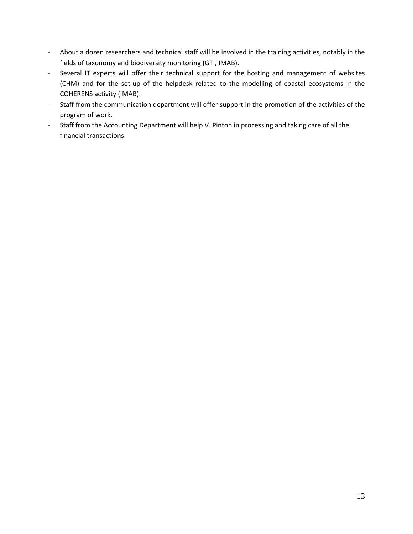- About a dozen researchers and technical staff will be involved in the training activities, notably in the fields of taxonomy and biodiversity monitoring (GTI, IMAB).
- Several IT experts will offer their technical support for the hosting and management of websites (CHM) and for the set‐up of the helpdesk related to the modelling of coastal ecosystems in the COHERENS activity (IMAB).
- Staff from the communication department will offer support in the promotion of the activities of the program of work.
- Staff from the Accounting Department will help V. Pinton in processing and taking care of all the financial transactions.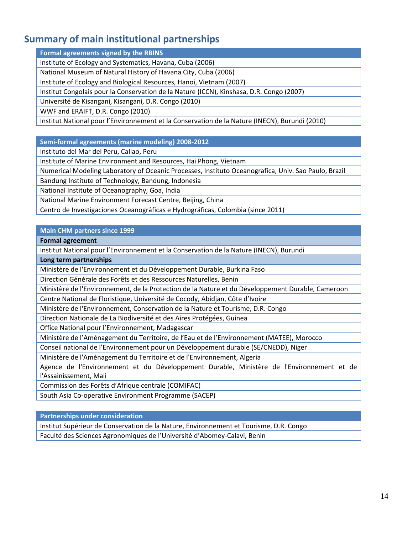### **Summary of main institutional partnerships**

**Formal agreements signed by the RBINS**

Institute of Ecology and Systematics, Havana, Cuba (2006)

National Museum of Natural History of Havana City, Cuba (2006)

Institute of Ecology and Biological Resources, Hanoi, Vietnam (2007)

Institut Congolais pour la Conservation de la Nature (ICCN), Kinshasa, D.R. Congo (2007)

Université de Kisangani, Kisangani, D.R. Congo (2010)

WWF and ERAIFT, D.R. Congo (2010)

Institut National pour l'Environnement et la Conservation de la Nature (INECN), Burundi (2010)

**Semi‐formal agreements (marine modeling) 2008‐2012**

Instituto del Mar del Peru, Callao, Peru

Institute of Marine Environment and Resources, Hai Phong, Vietnam

Numerical Modeling Laboratory of Oceanic Processes, Instituto Oceanografica, Univ. Sao Paulo, Brazil

Bandung Institute of Technology, Bandung, Indonesia

National Institute of Oceanography, Goa, India

National Marine Environment Forecast Centre, Beijing, China

Centro de Investigaciones Oceanográficas e Hydrográficas, Colombia (since 2011)

#### **Main CHM partners since 1999**

**Formal agreement**

Institut National pour l'Environnement et la Conservation de la Nature (INECN), Burundi

**Long term partnerships**

Ministère de l'Environnement et du Développement Durable, Burkina Faso

Direction Générale des Forêts et des Ressources Naturelles, Benin

Ministère de l'Environnement, de la Protection de la Nature et du Développement Durable, Cameroon

Centre National de Floristique, Université de Cocody, Abidjan, Côte d'Ivoire

Ministère de l'Environnement, Conservation de la Nature et Tourisme, D.R. Congo

Direction Nationale de La Biodiversité et des Aires Protégées, Guinea

Office National pour l'Environnement, Madagascar

Ministère de l'Aménagement du Territoire, de l'Eau et de l'Environnement (MATEE), Morocco

Conseil national de l'Environnement pour un Développement durable (SE/CNEDD), Niger

Ministère de l'Aménagement du Territoire et de l'Environnement, Algeria

Agence de l'Environnement et du Développement Durable, Ministère de l'Environnement et de l'Assainissement, Mali

Commission des Forêts d'Afrique centrale (COMIFAC)

South Asia Co‐operative Environment Programme (SACEP)

**Partnerships under consideration**

Institut Supérieur de Conservation de la Nature, Environnement et Tourisme, D.R. Congo

Faculté des Sciences Agronomiques de l'Université d'Abomey‐Calavi, Benin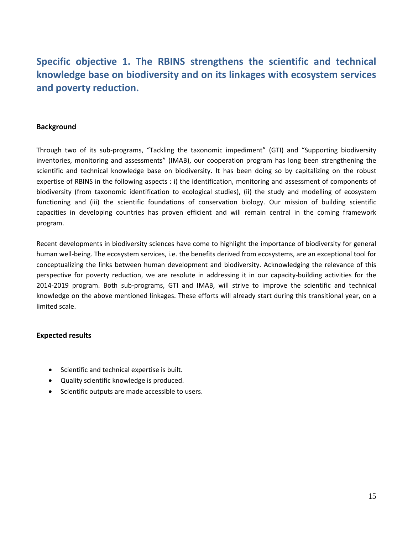### **Specific objective 1. The RBINS strengthens the scientific and technical knowledge base on biodiversity and on its linkages with ecosystem services and poverty reduction.**

#### **Background**

Through two of its sub‐programs, "Tackling the taxonomic impediment" (GTI) and "Supporting biodiversity inventories, monitoring and assessments" (IMAB), our cooperation program has long been strengthening the scientific and technical knowledge base on biodiversity. It has been doing so by capitalizing on the robust expertise of RBINS in the following aspects : i) the identification, monitoring and assessment of components of biodiversity (from taxonomic identification to ecological studies), (ii) the study and modelling of ecosystem functioning and (iii) the scientific foundations of conservation biology. Our mission of building scientific capacities in developing countries has proven efficient and will remain central in the coming framework program.

Recent developments in biodiversity sciences have come to highlight the importance of biodiversity for general human well-being. The ecosystem services, i.e. the benefits derived from ecosystems, are an exceptional tool for conceptualizing the links between human development and biodiversity. Acknowledging the relevance of this perspective for poverty reduction, we are resolute in addressing it in our capacity-building activities for the 2014‐2019 program. Both sub‐programs, GTI and IMAB, will strive to improve the scientific and technical knowledge on the above mentioned linkages. These efforts will already start during this transitional year, on a limited scale.

#### **Expected results**

- Scientific and technical expertise is built.
- Quality scientific knowledge is produced.
- Scientific outputs are made accessible to users.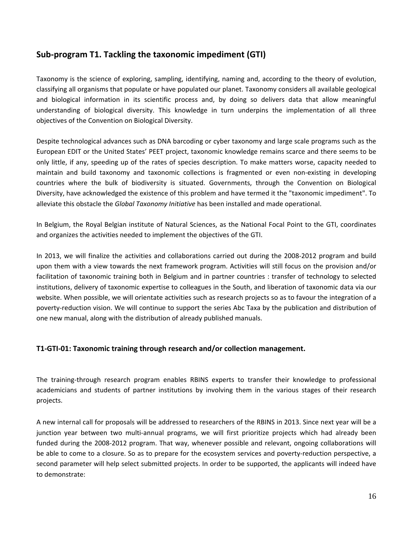### **Sub‐program T1. Tackling the taxonomic impediment (GTI)**

Taxonomy is the science of exploring, sampling, identifying, naming and, according to the theory of evolution, classifying all organisms that populate or have populated our planet. Taxonomy considers all available geological and biological information in its scientific process and, by doing so delivers data that allow meaningful understanding of biological diversity. This knowledge in turn underpins the implementation of all three objectives of the Convention on Biological Diversity.

Despite technological advances such as DNA barcoding or cyber taxonomy and large scale programs such as the European EDIT or the United States' PEET project, taxonomic knowledge remains scarce and there seems to be only little, if any, speeding up of the rates of species description. To make matters worse, capacity needed to maintain and build taxonomy and taxonomic collections is fragmented or even non‐existing in developing countries where the bulk of biodiversity is situated. Governments, through the Convention on Biological Diversity, have acknowledged the existence of this problem and have termed it the "taxonomic impediment". To alleviate this obstacle the *Global Taxonomy Initiative* has been installed and made operational.

In Belgium, the Royal Belgian institute of Natural Sciences, as the National Focal Point to the GTI, coordinates and organizes the activities needed to implement the objectives of the GTI.

In 2013, we will finalize the activities and collaborations carried out during the 2008‐2012 program and build upon them with a view towards the next framework program. Activities will still focus on the provision and/or facilitation of taxonomic training both in Belgium and in partner countries : transfer of technology to selected institutions, delivery of taxonomic expertise to colleagues in the South, and liberation of taxonomic data via our website. When possible, we will orientate activities such as research projects so as to favour the integration of a poverty-reduction vision. We will continue to support the series Abc Taxa by the publication and distribution of one new manual, along with the distribution of already published manuals.

#### **T1‐GTI‐01: Taxonomic training through research and/or collection management.**

The training‐through research program enables RBINS experts to transfer their knowledge to professional academicians and students of partner institutions by involving them in the various stages of their research projects.

A new internal call for proposals will be addressed to researchers of the RBINS in 2013. Since next year will be a junction year between two multi‐annual programs, we will first prioritize projects which had already been funded during the 2008‐2012 program. That way, whenever possible and relevant, ongoing collaborations will be able to come to a closure. So as to prepare for the ecosystem services and poverty-reduction perspective, a second parameter will help select submitted projects. In order to be supported, the applicants will indeed have to demonstrate: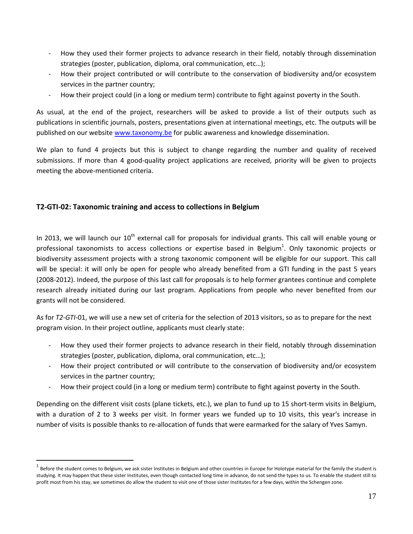- ‐ How they used their former projects to advance research in their field, notably through dissemination strategies (poster, publication, diploma, oral communication, etc…);
- How their project contributed or will contribute to the conservation of biodiversity and/or ecosystem services in the partner country;
- How their project could (in a long or medium term) contribute to fight against poverty in the South.

As usual, at the end of the project, researchers will be asked to provide a list of their outputs such as publications in scientific journals, posters, presentations given at international meetings, etc. The outputs will be published on our website www.taxonomy.be for public awareness and knowledge dissemination.

We plan to fund 4 projects but this is subject to change regarding the number and quality of received submissions. If more than 4 good‐quality project applications are received, priority will be given to projects meeting the above‐mentioned criteria.

#### **T2‐GTI‐02: Taxonomic training and access to collections in Belgium**

 $\overline{a}$ 

In 2013, we will launch our  $10<sup>th</sup>$  external call for proposals for individual grants. This call will enable young or professional taxonomists to access collections or expertise based in Belgium<sup>1</sup>. Only taxonomic projects or biodiversity assessment projects with a strong taxonomic component will be eligible for our support. This call will be special: it will only be open for people who already benefited from a GTI funding in the past 5 years (2008‐2012). Indeed, the purpose of this last call for proposals is to help former grantees continue and complete research already initiated during our last program. Applications from people who never benefited from our grants will not be considered.

As for *T2‐GTI‐*01, we will use a new set of criteria for the selection of 2013 visitors, so as to prepare for the next program vision. In their project outline, applicants must clearly state:

- How they used their former projects to advance research in their field, notably through dissemination strategies (poster, publication, diploma, oral communication, etc…);
- ‐ How their project contributed or will contribute to the conservation of biodiversity and/or ecosystem services in the partner country;
- ‐ How their project could (in a long or medium term) contribute to fight against poverty in the South.

Depending on the different visit costs (plane tickets, etc.), we plan to fund up to 15 short-term visits in Belgium, with a duration of 2 to 3 weeks per visit. In former years we funded up to 10 visits, this year's increase in number of visits is possible thanks to re‐allocation of funds that were earmarked for the salary of Yves Samyn.

Before the student comes to Belgium, we ask sister Institutes in Belgium and other countries in Europe for Holotype material for the family the student is studying. It may happen that these sister Institutes, even though contacted long time in advance, do not send the types to us. To enable the student still to profit most from his stay, we sometimes do allow the student to visit one of those sister Institutes for a few days, within the Schengen zone.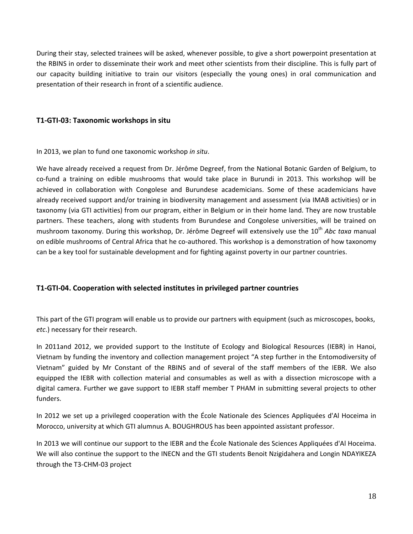During their stay, selected trainees will be asked, whenever possible, to give a short powerpoint presentation at the RBINS in order to disseminate their work and meet other scientists from their discipline. This is fully part of our capacity building initiative to train our visitors (especially the young ones) in oral communication and presentation of their research in front of a scientific audience.

#### **T1‐GTI‐03: Taxonomic workshops in situ**

In 2013, we plan to fund one taxonomic workshop *in situ*.

We have already received a request from Dr. Jérôme Degreef, from the National Botanic Garden of Belgium, to co-fund a training on edible mushrooms that would take place in Burundi in 2013. This workshop will be achieved in collaboration with Congolese and Burundese academicians. Some of these academicians have already received support and/or training in biodiversity management and assessment (via IMAB activities) or in taxonomy (via GTI activities) from our program, either in Belgium or in their home land. They are now trustable partners. These teachers, along with students from Burundese and Congolese universities, will be trained on mushroom taxonomy. During this workshop, Dr. Jérôme Degreef will extensively use the 10th *Abc taxa* manual on edible mushrooms of Central Africa that he co-authored. This workshop is a demonstration of how taxonomy can be a key tool for sustainable development and for fighting against poverty in our partner countries.

#### **T1‐GTI‐04. Cooperation with selected institutes in privileged partner countries**

This part of the GTI program will enable us to provide our partners with equipment (such as microscopes, books, *etc*.) necessary for their research.

In 2011and 2012, we provided support to the Institute of Ecology and Biological Resources (IEBR) in Hanoi, Vietnam by funding the inventory and collection management project "A step further in the Entomodiversity of Vietnam" guided by Mr Constant of the RBINS and of several of the staff members of the IEBR. We also equipped the IEBR with collection material and consumables as well as with a dissection microscope with a digital camera. Further we gave support to IEBR staff member T PHAM in submitting several projects to other funders.

In 2012 we set up a privileged cooperation with the École Nationale des Sciences Appliquées d'Al Hoceima in Morocco, university at which GTI alumnus A. BOUGHROUS has been appointed assistant professor.

In 2013 we will continue our support to the IEBR and the École Nationale des Sciences Appliquées d'Al Hoceima. We will also continue the support to the INECN and the GTI students Benoit Nzigidahera and Longin NDAYIKEZA through the T3‐CHM‐03 project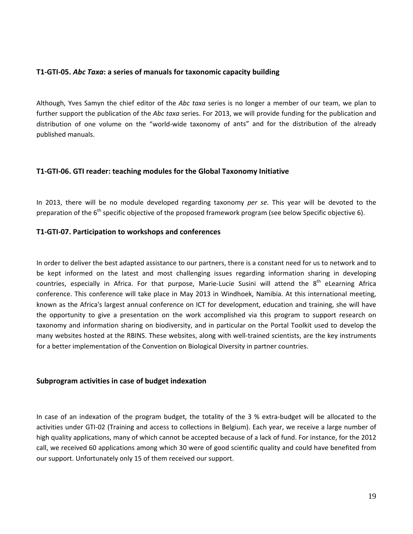#### **T1‐GTI‐05.** *Abc Taxa***: a series of manuals for taxonomic capacity building**

Although, Yves Samyn the chief editor of the *Abc taxa* series is no longer a member of our team, we plan to further support the publication of the *Abc taxa* series. For 2013, we will provide funding for the publication and distribution of one volume on the "world‐wide taxonomy of ants" and for the distribution of the already published manuals.

#### **T1‐GTI‐06. GTI reader: teaching modules for the Global Taxonomy Initiative**

In 2013, there will be no module developed regarding taxonomy *per se*. This year will be devoted to the preparation of the  $6<sup>th</sup>$  specific objective of the proposed framework program (see below Specific objective 6).

#### **T1‐GTI‐07. Participation to workshops and conferences**

In order to deliver the best adapted assistance to our partners, there is a constant need for us to network and to be kept informed on the latest and most challenging issues regarding information sharing in developing countries, especially in Africa. For that purpose, Marie-Lucie Susini will attend the 8<sup>th</sup> eLearning Africa conference. This conference will take place in May 2013 in Windhoek, Namibia. At this international meeting, known as the Africa's largest annual conference on ICT for development, education and training, she will have the opportunity to give a presentation on the work accomplished via this program to support research on taxonomy and information sharing on biodiversity, and in particular on the Portal Toolkit used to develop the many websites hosted at the RBINS. These websites, along with well‐trained scientists, are the key instruments for a better implementation of the Convention on Biological Diversity in partner countries.

#### **Subprogram activities in case of budget indexation**

In case of an indexation of the program budget, the totality of the 3 % extra-budget will be allocated to the activities under GTI‐02 (Training and access to collections in Belgium). Each year, we receive a large number of high quality applications, many of which cannot be accepted because of a lack of fund. For instance, for the 2012 call, we received 60 applications among which 30 were of good scientific quality and could have benefited from our support. Unfortunately only 15 of them received our support.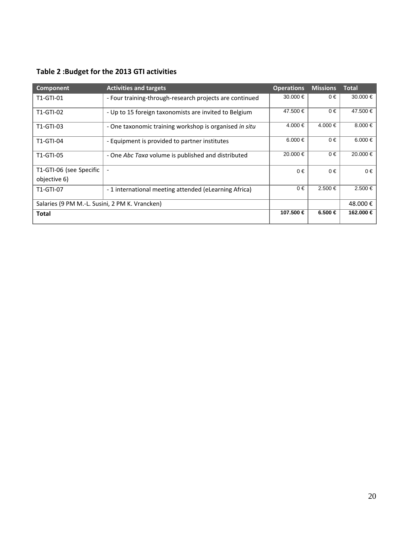| Component                                      | <b>Activities and targets</b>                           | <b>Operations</b> | <b>Missions</b> | <b>Total</b> |
|------------------------------------------------|---------------------------------------------------------|-------------------|-----------------|--------------|
| T1-GTI-01                                      | - Four training-through-research projects are continued | 30,000 €          | $0 \in$         | $30.000 \in$ |
| T1-GTI-02                                      | - Up to 15 foreign taxonomists are invited to Belgium   | 47.500 €          | $0 \in$         | 47.500 €     |
| T1-GTI-03                                      | - One taxonomic training workshop is organised in situ  | 4.000 €           | 4.000 €         | 8.000 €      |
| T1-GTI-04                                      | - Equipment is provided to partner institutes           | 6.000 $\in$       | $0 \in$         | 6.000 €      |
| T1-GTI-05                                      | - One Abc Taxa volume is published and distributed      | 20.000 €          | $0 \in$         | 20.000 €     |
| T1-GTI-06 (see Specific                        |                                                         | $0 \in$           | $0 \in$         | $0 \in$      |
| objective 6)                                   |                                                         |                   |                 |              |
| T1-GTI-07                                      | -1 international meeting attended (eLearning Africa)    | $0 \in$           | $2.500 \in$     | $2.500 \in$  |
| Salaries (9 PM M.-L. Susini, 2 PM K. Vrancken) |                                                         |                   |                 | 48.000€      |
| Total                                          |                                                         | 107.500 €         | $6.500 \in$     | 162.000 €    |

#### **Table 2 :Budget for the 2013 GTI activities**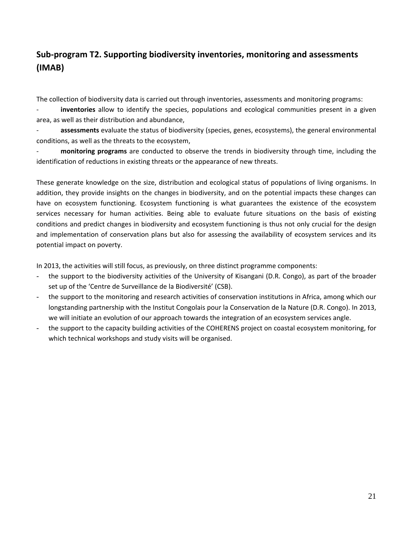### **Sub‐program T2. Supporting biodiversity inventories, monitoring and assessments (IMAB)**

The collection of biodiversity data is carried out through inventories, assessments and monitoring programs:

‐ **inventories** allow to identify the species, populations and ecological communities present in a given area, as well as their distribution and abundance,

‐ **assessments** evaluate the status of biodiversity (species, genes, ecosystems), the general environmental conditions, as well as the threats to the ecosystem,

‐ **monitoring programs** are conducted to observe the trends in biodiversity through time, including the identification of reductions in existing threats or the appearance of new threats.

These generate knowledge on the size, distribution and ecological status of populations of living organisms. In addition, they provide insights on the changes in biodiversity, and on the potential impacts these changes can have on ecosystem functioning. Ecosystem functioning is what guarantees the existence of the ecosystem services necessary for human activities. Being able to evaluate future situations on the basis of existing conditions and predict changes in biodiversity and ecosystem functioning is thus not only crucial for the design and implementation of conservation plans but also for assessing the availability of ecosystem services and its potential impact on poverty.

In 2013, the activities will still focus, as previously, on three distinct programme components:

- the support to the biodiversity activities of the University of Kisangani (D.R. Congo), as part of the broader set up of the 'Centre de Surveillance de la Biodiversité' (CSB).
- the support to the monitoring and research activities of conservation institutions in Africa, among which our longstanding partnership with the Institut Congolais pour la Conservation de la Nature (D.R. Congo). In 2013, we will initiate an evolution of our approach towards the integration of an ecosystem services angle.
- the support to the capacity building activities of the COHERENS project on coastal ecosystem monitoring, for which technical workshops and study visits will be organised.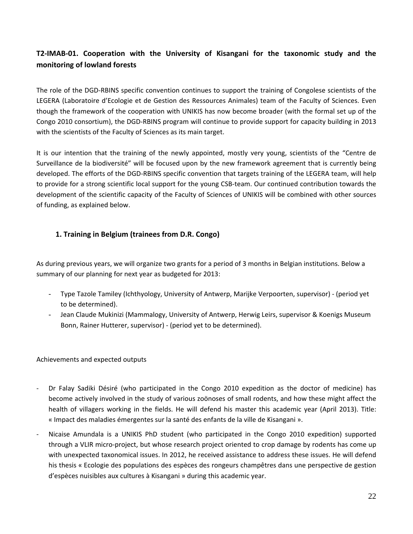### **T2‐IMAB‐01. Cooperation with the University of Kisangani for the taxonomic study and the monitoring of lowland forests**

The role of the DGD‐RBINS specific convention continues to support the training of Congolese scientists of the LEGERA (Laboratoire d'Ecologie et de Gestion des Ressources Animales) team of the Faculty of Sciences. Even though the framework of the cooperation with UNIKIS has now become broader (with the formal set up of the Congo 2010 consortium), the DGD‐RBINS program will continue to provide support for capacity building in 2013 with the scientists of the Faculty of Sciences as its main target.

It is our intention that the training of the newly appointed, mostly very young, scientists of the "Centre de Surveillance de la biodiversité" will be focused upon by the new framework agreement that is currently being developed. The efforts of the DGD‐RBINS specific convention that targets training of the LEGERA team, will help to provide for a strong scientific local support for the young CSB‐team. Our continued contribution towards the development of the scientific capacity of the Faculty of Sciences of UNIKIS will be combined with other sources of funding, as explained below.

#### **1. Training in Belgium (trainees from D.R. Congo)**

As during previous years, we will organize two grants for a period of 3 months in Belgian institutions. Below a summary of our planning for next year as budgeted for 2013:

- Type Tazole Tamiley (Ichthyology, University of Antwerp, Marijke Verpoorten, supervisor) ‐ (period yet to be determined).
- Jean Claude Mukinizi (Mammalogy, University of Antwerp, Herwig Leirs, supervisor & Koenigs Museum Bonn, Rainer Hutterer, supervisor) ‐ (period yet to be determined).

Achievements and expected outputs

- ‐ Dr Falay Sadiki Désiré (who participated in the Congo 2010 expedition as the doctor of medicine) has become actively involved in the study of various zoönoses of small rodents, and how these might affect the health of villagers working in the fields. He will defend his master this academic year (April 2013). Title: « Impact des maladies émergentes sur la santé des enfants de la ville de Kisangani ».
- ‐ Nicaise Amundala is a UNIKIS PhD student (who participated in the Congo 2010 expedition) supported through a VLIR micro‐project, but whose research project oriented to crop damage by rodents has come up with unexpected taxonomical issues. In 2012, he received assistance to address these issues. He will defend his thesis « Ecologie des populations des espèces des rongeurs champêtres dans une perspective de gestion d'espèces nuisibles aux cultures à Kisangani » during this academic year.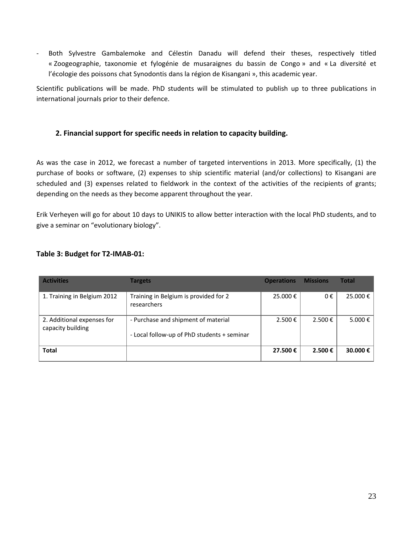‐ Both Sylvestre Gambalemoke and Célestin Danadu will defend their theses, respectively titled « Zoogeographie, taxonomie et fylogénie de musaraignes du bassin de Congo » and « La diversité et l'écologie des poissons chat Synodontis dans la région de Kisangani », this academic year.

Scientific publications will be made. PhD students will be stimulated to publish up to three publications in international journals prior to their defence.

#### **2. Financial support for specific needs in relation to capacity building.**

As was the case in 2012, we forecast a number of targeted interventions in 2013. More specifically, (1) the purchase of books or software, (2) expenses to ship scientific material (and/or collections) to Kisangani are scheduled and (3) expenses related to fieldwork in the context of the activities of the recipients of grants; depending on the needs as they become apparent throughout the year.

Erik Verheyen will go for about 10 days to UNIKIS to allow better interaction with the local PhD students, and to give a seminar on "evolutionary biology".

#### **Table 3: Budget for T2‐IMAB‐01:**

| <b>Activities</b>                               | <b>Targets</b>                                                                     | <b>Operations</b> | <b>Missions</b>   | Total   |
|-------------------------------------------------|------------------------------------------------------------------------------------|-------------------|-------------------|---------|
| 1. Training in Belgium 2012                     | Training in Belgium is provided for 2<br>researchers                               | 25.000€           | 0€                | 25.000€ |
| 2. Additional expenses for<br>capacity building | - Purchase and shipment of material<br>- Local follow-up of PhD students + seminar | $2.500 \text{ }€$ | $2.500 \text{ }€$ | 5.000 € |
| <b>Total</b>                                    |                                                                                    | 27.500€           | 2.500€            | 30.000€ |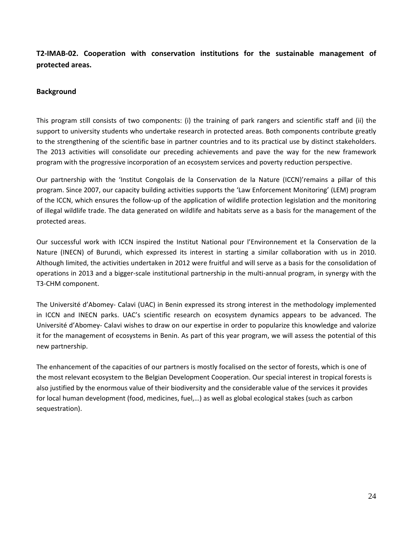#### **T2‐IMAB‐02. Cooperation with conservation institutions for the sustainable management of protected areas.**

#### **Background**

This program still consists of two components: (i) the training of park rangers and scientific staff and (ii) the support to university students who undertake research in protected areas. Both components contribute greatly to the strengthening of the scientific base in partner countries and to its practical use by distinct stakeholders. The 2013 activities will consolidate our preceding achievements and pave the way for the new framework program with the progressive incorporation of an ecosystem services and poverty reduction perspective.

Our partnership with the 'Institut Congolais de la Conservation de la Nature (ICCN)'remains a pillar of this program. Since 2007, our capacity building activities supports the 'Law Enforcement Monitoring' (LEM) program of the ICCN, which ensures the follow‐up of the application of wildlife protection legislation and the monitoring of illegal wildlife trade. The data generated on wildlife and habitats serve as a basis for the management of the protected areas.

Our successful work with ICCN inspired the Institut National pour l'Environnement et la Conservation de la Nature (INECN) of Burundi, which expressed its interest in starting a similar collaboration with us in 2010. Although limited, the activities undertaken in 2012 were fruitful and will serve as a basis for the consolidation of operations in 2013 and a bigger‐scale institutional partnership in the multi‐annual program, in synergy with the T3‐CHM component.

The Université d'Abomey‐ Calavi (UAC) in Benin expressed its strong interest in the methodology implemented in ICCN and INECN parks. UAC's scientific research on ecosystem dynamics appears to be advanced. The Université d'Abomey‐ Calavi wishes to draw on our expertise in order to popularize this knowledge and valorize it for the management of ecosystems in Benin. As part of this year program, we will assess the potential of this new partnership.

The enhancement of the capacities of our partners is mostly focalised on the sector of forests, which is one of the most relevant ecosystem to the Belgian Development Cooperation. Our special interest in tropical forests is also justified by the enormous value of their biodiversity and the considerable value of the services it provides for local human development (food, medicines, fuel,…) as well as global ecological stakes (such as carbon sequestration).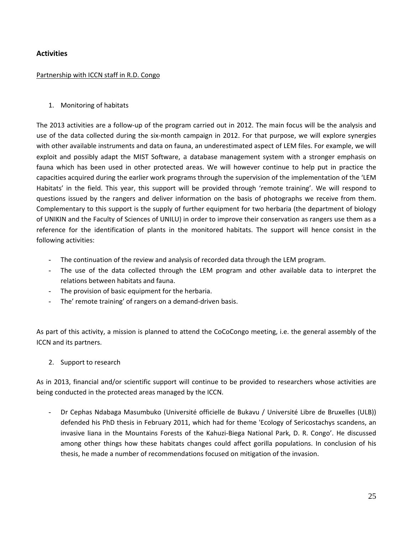#### **Activities**

#### Partnership with ICCN staff in R.D. Congo

#### 1. Monitoring of habitats

The 2013 activities are a follow‐up of the program carried out in 2012. The main focus will be the analysis and use of the data collected during the six‐month campaign in 2012. For that purpose, we will explore synergies with other available instruments and data on fauna, an underestimated aspect of LEM files. For example, we will exploit and possibly adapt the MIST Software, a database management system with a stronger emphasis on fauna which has been used in other protected areas. We will however continue to help put in practice the capacities acquired during the earlier work programs through the supervision of the implementation of the 'LEM Habitats' in the field. This year, this support will be provided through 'remote training'. We will respond to questions issued by the rangers and deliver information on the basis of photographs we receive from them. Complementary to this support is the supply of further equipment for two herbaria (the department of biology of UNIKIN and the Faculty of Sciences of UNILU) in order to improve their conservation as rangers use them as a reference for the identification of plants in the monitored habitats. The support will hence consist in the following activities:

- The continuation of the review and analysis of recorded data through the LEM program.
- The use of the data collected through the LEM program and other available data to interpret the relations between habitats and fauna.
- The provision of basic equipment for the herbaria.
- The' remote training' of rangers on a demand-driven basis.

As part of this activity, a mission is planned to attend the CoCoCongo meeting, i.e. the general assembly of the ICCN and its partners.

2. Support to research

As in 2013, financial and/or scientific support will continue to be provided to researchers whose activities are being conducted in the protected areas managed by the ICCN.

- Dr Cephas Ndabaga Masumbuko (Université officielle de Bukavu / Université Libre de Bruxelles (ULB)) defended his PhD thesis in February 2011, which had for theme 'Ecology of Sericostachys scandens, an invasive liana in the Mountains Forests of the Kahuzi‐Biega National Park, D. R. Congo'. He discussed among other things how these habitats changes could affect gorilla populations. In conclusion of his thesis, he made a number of recommendations focused on mitigation of the invasion.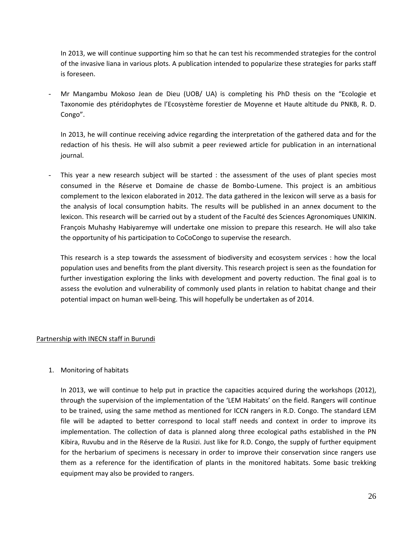In 2013, we will continue supporting him so that he can test his recommended strategies for the control of the invasive liana in various plots. A publication intended to popularize these strategies for parks staff is foreseen.

- Mr Mangambu Mokoso Jean de Dieu (UOB/ UA) is completing his PhD thesis on the "Ecologie et Taxonomie des ptéridophytes de l'Ecosystème forestier de Moyenne et Haute altitude du PNKB, R. D. Congo".

In 2013, he will continue receiving advice regarding the interpretation of the gathered data and for the redaction of his thesis. He will also submit a peer reviewed article for publication in an international journal.

This year a new research subject will be started : the assessment of the uses of plant species most consumed in the Réserve et Domaine de chasse de Bombo‐Lumene. This project is an ambitious complement to the lexicon elaborated in 2012. The data gathered in the lexicon will serve as a basis for the analysis of local consumption habits. The results will be published in an annex document to the lexicon. This research will be carried out by a student of the Faculté des Sciences Agronomiques UNIKIN. François Muhashy Habiyaremye will undertake one mission to prepare this research. He will also take the opportunity of his participation to CoCoCongo to supervise the research.

This research is a step towards the assessment of biodiversity and ecosystem services : how the local population uses and benefits from the plant diversity. This research project is seen as the foundation for further investigation exploring the links with development and poverty reduction. The final goal is to assess the evolution and vulnerability of commonly used plants in relation to habitat change and their potential impact on human well‐being. This will hopefully be undertaken as of 2014.

#### Partnership with INECN staff in Burundi

#### 1. Monitoring of habitats

In 2013, we will continue to help put in practice the capacities acquired during the workshops (2012), through the supervision of the implementation of the 'LEM Habitats' on the field. Rangers will continue to be trained, using the same method as mentioned for ICCN rangers in R.D. Congo. The standard LEM file will be adapted to better correspond to local staff needs and context in order to improve its implementation. The collection of data is planned along three ecological paths established in the PN Kibira, Ruvubu and in the Réserve de la Rusizi. Just like for R.D. Congo, the supply of further equipment for the herbarium of specimens is necessary in order to improve their conservation since rangers use them as a reference for the identification of plants in the monitored habitats. Some basic trekking equipment may also be provided to rangers.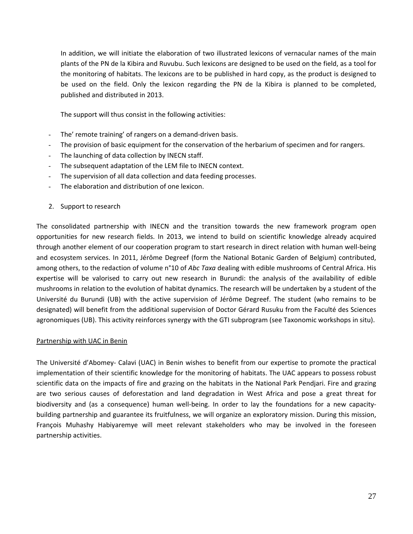In addition, we will initiate the elaboration of two illustrated lexicons of vernacular names of the main plants of the PN de la Kibira and Ruvubu. Such lexicons are designed to be used on the field, as a tool for the monitoring of habitats. The lexicons are to be published in hard copy, as the product is designed to be used on the field. Only the lexicon regarding the PN de la Kibira is planned to be completed, published and distributed in 2013.

The support will thus consist in the following activities:

- The' remote training' of rangers on a demand-driven basis.
- The provision of basic equipment for the conservation of the herbarium of specimen and for rangers.
- The launching of data collection by INECN staff.
- The subsequent adaptation of the LEM file to INECN context.
- The supervision of all data collection and data feeding processes.
- The elaboration and distribution of one lexicon.
- 2. Support to research

The consolidated partnership with INECN and the transition towards the new framework program open opportunities for new research fields. In 2013, we intend to build on scientific knowledge already acquired through another element of our cooperation program to start research in direct relation with human well‐being and ecosystem services. In 2011, Jérôme Degreef (form the National Botanic Garden of Belgium) contributed, among others, to the redaction of volume n°10 of *Abc Taxa* dealing with edible mushrooms of Central Africa. His expertise will be valorised to carry out new research in Burundi: the analysis of the availability of edible mushrooms in relation to the evolution of habitat dynamics. The research will be undertaken by a student of the Université du Burundi (UB) with the active supervision of Jérôme Degreef. The student (who remains to be designated) will benefit from the additional supervision of Doctor Gérard Rusuku from the Faculté des Sciences agronomiques (UB). This activity reinforces synergy with the GTI subprogram (see Taxonomic workshops in situ).

#### Partnership with UAC in Benin

The Université d'Abomey‐ Calavi (UAC) in Benin wishes to benefit from our expertise to promote the practical implementation of their scientific knowledge for the monitoring of habitats. The UAC appears to possess robust scientific data on the impacts of fire and grazing on the habitats in the National Park Pendjari. Fire and grazing are two serious causes of deforestation and land degradation in West Africa and pose a great threat for biodiversity and (as a consequence) human well-being. In order to lay the foundations for a new capacitybuilding partnership and guarantee its fruitfulness, we will organize an exploratory mission. During this mission, François Muhashy Habiyaremye will meet relevant stakeholders who may be involved in the foreseen partnership activities.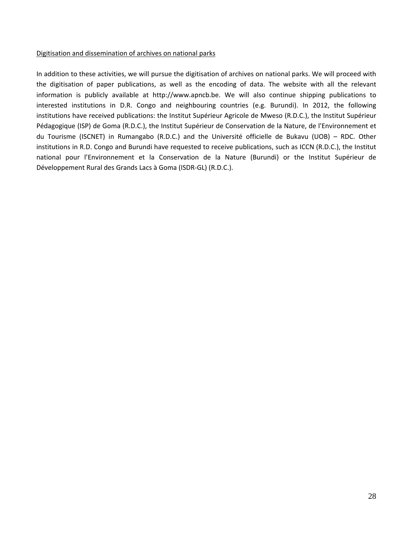#### Digitisation and dissemination of archives on national parks

In addition to these activities, we will pursue the digitisation of archives on national parks. We will proceed with the digitisation of paper publications, as well as the encoding of data. The website with all the relevant information is publicly available at http://www.apncb.be. We will also continue shipping publications to interested institutions in D.R. Congo and neighbouring countries (e.g. Burundi). In 2012, the following institutions have received publications: the Institut Supérieur Agricole de Mweso (R.D.C.), the Institut Supérieur Pédagogique (ISP) de Goma (R.D.C.), the Institut Supérieur de Conservation de la Nature, de l'Environnement et du Tourisme (ISCNET) in Rumangabo (R.D.C.) and the Université officielle de Bukavu (UOB) – RDC. Other institutions in R.D. Congo and Burundi have requested to receive publications, such as ICCN (R.D.C.), the Institut national pour l'Environnement et la Conservation de la Nature (Burundi) or the Institut Supérieur de Développement Rural des Grands Lacs à Goma (ISDR‐GL) (R.D.C.).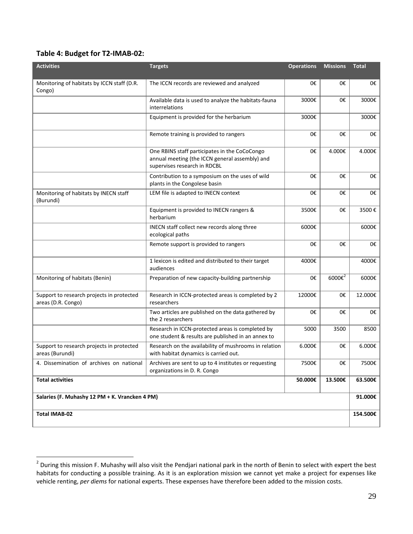#### **Table 4: Budget for T2‐IMAB‐02:**

 $\overline{a}$ 

| <b>Activities</b>                                               | <b>Targets</b>                                                                                                                  | <b>Operations</b> | <b>Missions</b>  | <b>Total</b> |
|-----------------------------------------------------------------|---------------------------------------------------------------------------------------------------------------------------------|-------------------|------------------|--------------|
| Monitoring of habitats by ICCN staff (D.R.<br>Congo)            | The ICCN records are reviewed and analyzed                                                                                      | 0€                | 0€               | 0€           |
|                                                                 | Available data is used to analyze the habitats-fauna<br>interrelations                                                          | 3000€             | 0€               | 3000€        |
|                                                                 | Equipment is provided for the herbarium                                                                                         | 3000€             |                  | 3000€        |
|                                                                 | Remote training is provided to rangers                                                                                          | 0€                | 0€               | 0€           |
|                                                                 | One RBINS staff participates in the CoCoCongo<br>annual meeting (the ICCN general assembly) and<br>supervises research in RDCBL | 0€                | 4.000€           | 4.000€       |
|                                                                 | Contribution to a symposium on the uses of wild<br>plants in the Congolese basin                                                | 0€                | 0€               | 0€           |
| Monitoring of habitats by INECN staff<br>(Burundi)              | LEM file is adapted to INECN context                                                                                            | 0€                | 0€               | 0€           |
|                                                                 | Equipment is provided to INECN rangers &<br>herbarium                                                                           | 3500€             | 0€               | 3500€        |
|                                                                 | INECN staff collect new records along three<br>ecological paths                                                                 | 6000€             |                  | 6000€        |
|                                                                 | Remote support is provided to rangers                                                                                           | 0€                | 0€               | 0€           |
|                                                                 | 1 lexicon is edited and distributed to their target<br>audiences                                                                | 4000€             |                  | 4000€        |
| Monitoring of habitats (Benin)                                  | Preparation of new capacity-building partnership                                                                                | 0€                | $6000\epsilon^2$ | 6000€        |
| Support to research projects in protected<br>areas (D.R. Congo) | Research in ICCN-protected areas is completed by 2<br>researchers                                                               | 12000€            | 0€               | 12.000€      |
|                                                                 | Two articles are published on the data gathered by<br>the 2 researchers                                                         | 0€                | 0€               | 0€           |
|                                                                 | Research in ICCN-protected areas is completed by<br>one student & results are published in an annex to                          | 5000              | 3500             | 8500         |
| Support to research projects in protected<br>areas (Burundi)    | Research on the availability of mushrooms in relation<br>with habitat dynamics is carried out.                                  | 6.000€            | 0€               | 6.000€       |
| 4. Dissemination of archives on national                        | Archives are sent to up to 4 institutes or requesting<br>organizations in D. R. Congo                                           | 7500€             | 0€               | 7500€        |
| <b>Total activities</b>                                         |                                                                                                                                 | 50.000€           | 13.500€          | 63.500€      |
| Salaries (F. Muhashy 12 PM + K. Vrancken 4 PM)                  |                                                                                                                                 |                   |                  | 91.000€      |
| <b>Total IMAB-02</b>                                            |                                                                                                                                 |                   |                  | 154.500€     |

 $^2$  During this mission F. Muhashy will also visit the Pendjari national park in the north of Benin to select with expert the best habitats for conducting a possible training. As it is an exploration mission we cannot yet make a project for expenses like vehicle renting, *per diems* for national experts. These expenses have therefore been added to the mission costs.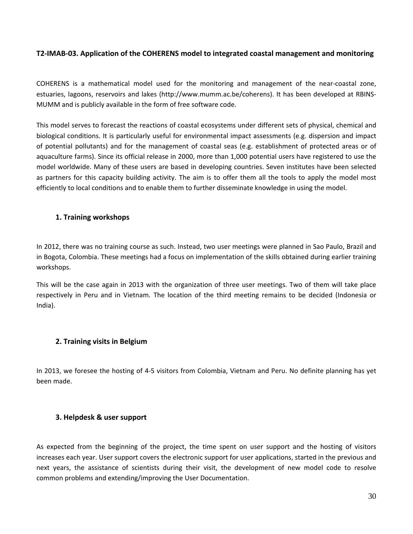#### **T2‐IMAB‐03. Application of the COHERENS model to integrated coastal management and monitoring**

COHERENS is a mathematical model used for the monitoring and management of the near‐coastal zone, estuaries, lagoons, reservoirs and lakes (http://www.mumm.ac.be/coherens). It has been developed at RBINS‐ MUMM and is publicly available in the form of free software code.

This model serves to forecast the reactions of coastal ecosystems under different sets of physical, chemical and biological conditions. It is particularly useful for environmental impact assessments (e.g. dispersion and impact of potential pollutants) and for the management of coastal seas (e.g. establishment of protected areas or of aquaculture farms). Since its official release in 2000, more than 1,000 potential users have registered to use the model worldwide. Many of these users are based in developing countries. Seven institutes have been selected as partners for this capacity building activity. The aim is to offer them all the tools to apply the model most efficiently to local conditions and to enable them to further disseminate knowledge in using the model.

#### **1. Training workshops**

In 2012, there was no training course as such. Instead, two user meetings were planned in Sao Paulo, Brazil and in Bogota, Colombia. These meetings had a focus on implementation of the skills obtained during earlier training workshops.

This will be the case again in 2013 with the organization of three user meetings. Two of them will take place respectively in Peru and in Vietnam. The location of the third meeting remains to be decided (Indonesia or India).

#### **2. Training visits in Belgium**

In 2013, we foresee the hosting of 4‐5 visitors from Colombia, Vietnam and Peru. No definite planning has yet been made.

#### **3. Helpdesk & user support**

As expected from the beginning of the project, the time spent on user support and the hosting of visitors increases each year. User support covers the electronic support for user applications, started in the previous and next years, the assistance of scientists during their visit, the development of new model code to resolve common problems and extending/improving the User Documentation.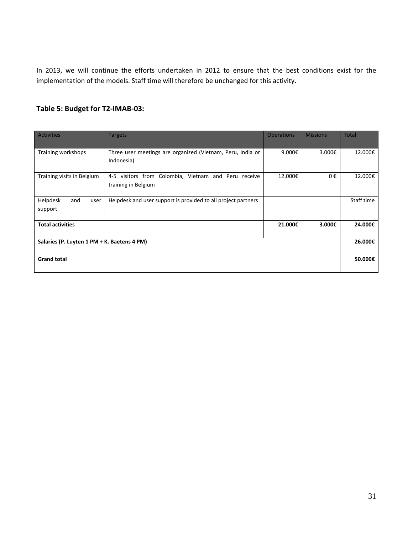In 2013, we will continue the efforts undertaken in 2012 to ensure that the best conditions exist for the implementation of the models. Staff time will therefore be unchanged for this activity.

#### **Table 5: Budget for T2‐IMAB‐03:**

| <b>Activities</b>                           | <b>Targets</b>                                                                 | <b>Operations</b> | <b>Missions</b> | <b>Total</b> |
|---------------------------------------------|--------------------------------------------------------------------------------|-------------------|-----------------|--------------|
| Training workshops                          | Three user meetings are organized (Vietnam, Peru, India or<br>Indonesia)       | 9.000€            | 3.000€          | 12.000€      |
| Training visits in Belgium                  | visitors from Colombia, Vietnam and Peru receive<br>4-5<br>training in Belgium | 12.000€           | 0€              | 12.000€      |
| Helpdesk<br>and<br>user<br>support          | Helpdesk and user support is provided to all project partners                  |                   |                 | Staff time   |
| <b>Total activities</b>                     |                                                                                | 21.000€           | 3.000€          | 24.000€      |
| Salaries (P. Luyten 1 PM + K. Baetens 4 PM) |                                                                                |                   |                 | 26.000€      |
| <b>Grand total</b>                          |                                                                                |                   |                 | 50.000€      |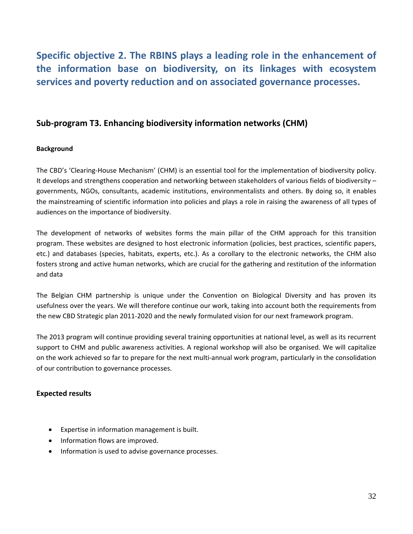**Specific objective 2. The RBINS plays a leading role in the enhancement of the information base on biodiversity, on its linkages with ecosystem services and poverty reduction and on associated governance processes.**

#### **Sub‐program T3. Enhancing biodiversity information networks (CHM)**

#### **Background**

The CBD's 'Clearing‐House Mechanism' (CHM) is an essential tool for the implementation of biodiversity policy. It develops and strengthens cooperation and networking between stakeholders of various fields of biodiversity – governments, NGOs, consultants, academic institutions, environmentalists and others. By doing so, it enables the mainstreaming of scientific information into policies and plays a role in raising the awareness of all types of audiences on the importance of biodiversity.

The development of networks of websites forms the main pillar of the CHM approach for this transition program. These websites are designed to host electronic information (policies, best practices, scientific papers, etc.) and databases (species, habitats, experts, etc.). As a corollary to the electronic networks, the CHM also fosters strong and active human networks, which are crucial for the gathering and restitution of the information and data

The Belgian CHM partnership is unique under the Convention on Biological Diversity and has proven its usefulness over the years. We will therefore continue our work, taking into account both the requirements from the new CBD Strategic plan 2011‐2020 and the newly formulated vision for our next framework program.

The 2013 program will continue providing several training opportunities at national level, as well as its recurrent support to CHM and public awareness activities. A regional workshop will also be organised. We will capitalize on the work achieved so far to prepare for the next multi‐annual work program, particularly in the consolidation of our contribution to governance processes.

#### **Expected results**

- Expertise in information management is built.
- Information flows are improved.
- Information is used to advise governance processes.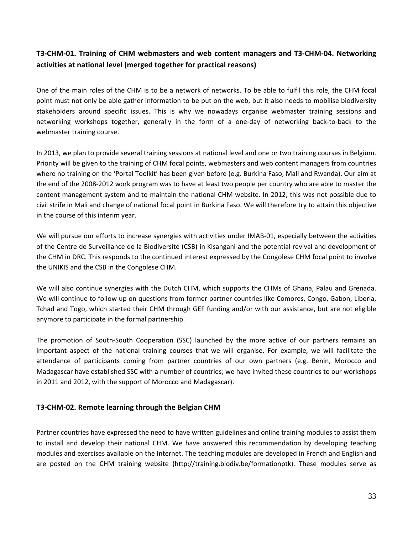#### T3-CHM-01. Training of CHM webmasters and web content managers and T3-CHM-04. Networking **activities at national level (merged together for practical reasons)**

One of the main roles of the CHM is to be a network of networks. To be able to fulfil this role, the CHM focal point must not only be able gather information to be put on the web, but it also needs to mobilise biodiversity stakeholders around specific issues. This is why we nowadays organise webmaster training sessions and networking workshops together, generally in the form of a one‐day of networking back‐to‐back to the webmaster training course.

In 2013, we plan to provide several training sessions at national level and one or two training courses in Belgium. Priority will be given to the training of CHM focal points, webmasters and web content managers from countries where no training on the 'Portal Toolkit' has been given before (e.g. Burkina Faso, Mali and Rwanda). Our aim at the end of the 2008‐2012 work program was to have at least two people per country who are able to master the content management system and to maintain the national CHM website. In 2012, this was not possible due to civil strife in Mali and change of national focal point in Burkina Faso. We will therefore try to attain this objective in the course of this interim year.

We will pursue our efforts to increase synergies with activities under IMAB‐01, especially between the activities of the Centre de Surveillance de la Biodiversité (CSB) in Kisangani and the potential revival and development of the CHM in DRC. This responds to the continued interest expressed by the Congolese CHM focal point to involve the UNIKIS and the CSB in the Congolese CHM.

We will also continue synergies with the Dutch CHM, which supports the CHMs of Ghana, Palau and Grenada. We will continue to follow up on questions from former partner countries like Comores, Congo, Gabon, Liberia, Tchad and Togo, which started their CHM through GEF funding and/or with our assistance, but are not eligible anymore to participate in the formal partnership.

The promotion of South-South Cooperation (SSC) launched by the more active of our partners remains an important aspect of the national training courses that we will organise. For example, we will facilitate the attendance of participants coming from partner countries of our own partners (e.g. Benin, Morocco and Madagascar have established SSC with a number of countries; we have invited these countries to our workshops in 2011 and 2012, with the support of Morocco and Madagascar).

#### **T3‐CHM‐02. Remote learning through the Belgian CHM**

Partner countries have expressed the need to have written guidelines and online training modules to assist them to install and develop their national CHM. We have answered this recommendation by developing teaching modules and exercises available on the Internet. The teaching modules are developed in French and English and are posted on the CHM training website (http://training.biodiv.be/formationptk). These modules serve as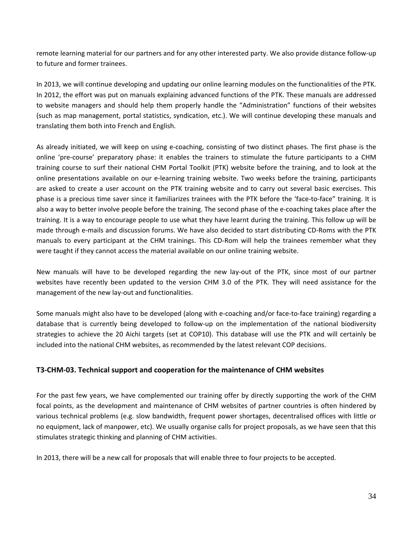remote learning material for our partners and for any other interested party. We also provide distance follow‐up to future and former trainees.

In 2013, we will continue developing and updating our online learning modules on the functionalities of the PTK. In 2012, the effort was put on manuals explaining advanced functions of the PTK. These manuals are addressed to website managers and should help them properly handle the "Administration" functions of their websites (such as map management, portal statistics, syndication, etc.). We will continue developing these manuals and translating them both into French and English.

As already initiated, we will keep on using e-coaching, consisting of two distinct phases. The first phase is the online 'pre‐course' preparatory phase: it enables the trainers to stimulate the future participants to a CHM training course to surf their national CHM Portal Toolkit (PTK) website before the training, and to look at the online presentations available on our e‐learning training website. Two weeks before the training, participants are asked to create a user account on the PTK training website and to carry out several basic exercises. This phase is a precious time saver since it familiarizes trainees with the PTK before the 'face‐to‐face" training. It is also a way to better involve people before the training. The second phase of the e‐coaching takes place after the training. It is a way to encourage people to use what they have learnt during the training. This follow up will be made through e-mails and discussion forums. We have also decided to start distributing CD-Roms with the PTK manuals to every participant at the CHM trainings. This CD‐Rom will help the trainees remember what they were taught if they cannot access the material available on our online training website.

New manuals will have to be developed regarding the new lay‐out of the PTK, since most of our partner websites have recently been updated to the version CHM 3.0 of the PTK. They will need assistance for the management of the new lay-out and functionalities.

Some manuals might also have to be developed (along with e-coaching and/or face-to-face training) regarding a database that is currently being developed to follow-up on the implementation of the national biodiversity strategies to achieve the 20 Aichi targets (set at COP10). This database will use the PTK and will certainly be included into the national CHM websites, as recommended by the latest relevant COP decisions.

#### **T3‐CHM‐03. Technical support and cooperation for the maintenance of CHM websites**

For the past few years, we have complemented our training offer by directly supporting the work of the CHM focal points, as the development and maintenance of CHM websites of partner countries is often hindered by various technical problems (e.g. slow bandwidth, frequent power shortages, decentralised offices with little or no equipment, lack of manpower, etc). We usually organise calls for project proposals, as we have seen that this stimulates strategic thinking and planning of CHM activities.

In 2013, there will be a new call for proposals that will enable three to four projects to be accepted.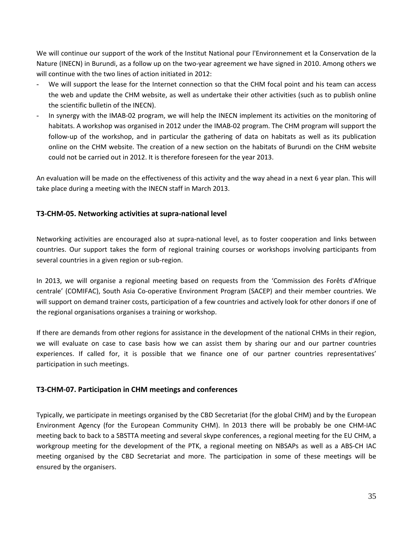We will continue our support of the work of the Institut National pour l'Environnement et la Conservation de la Nature (INECN) in Burundi, as a follow up on the two-year agreement we have signed in 2010. Among others we will continue with the two lines of action initiated in 2012:

- We will support the lease for the Internet connection so that the CHM focal point and his team can access the web and update the CHM website, as well as undertake their other activities (such as to publish online the scientific bulletin of the INECN).
- In synergy with the IMAB-02 program, we will help the INECN implement its activities on the monitoring of habitats. A workshop was organised in 2012 under the IMAB‐02 program. The CHM program will support the follow‐up of the workshop, and in particular the gathering of data on habitats as well as its publication online on the CHM website. The creation of a new section on the habitats of Burundi on the CHM website could not be carried out in 2012. It is therefore foreseen for the year 2013.

An evaluation will be made on the effectiveness of this activity and the way ahead in a next 6 year plan. This will take place during a meeting with the INECN staff in March 2013.

#### **T3‐CHM‐05. Networking activities at supra‐national level**

Networking activities are encouraged also at supra‐national level, as to foster cooperation and links between countries. Our support takes the form of regional training courses or workshops involving participants from several countries in a given region or sub-region.

In 2013, we will organise a regional meeting based on requests from the 'Commission des Forêts d'Afrique centrale' (COMIFAC), South Asia Co‐operative Environment Program (SACEP) and their member countries. We will support on demand trainer costs, participation of a few countries and actively look for other donors if one of the regional organisations organises a training or workshop.

If there are demands from other regions for assistance in the development of the national CHMs in their region, we will evaluate on case to case basis how we can assist them by sharing our and our partner countries experiences. If called for, it is possible that we finance one of our partner countries representatives' participation in such meetings.

#### **T3‐CHM‐07. Participation in CHM meetings and conferences**

Typically, we participate in meetings organised by the CBD Secretariat (for the global CHM) and by the European Environment Agency (for the European Community CHM). In 2013 there will be probably be one CHM‐IAC meeting back to back to a SBSTTA meeting and several skype conferences, a regional meeting for the EU CHM, a workgroup meeting for the development of the PTK, a regional meeting on NBSAPs as well as a ABS‐CH IAC meeting organised by the CBD Secretariat and more. The participation in some of these meetings will be ensured by the organisers.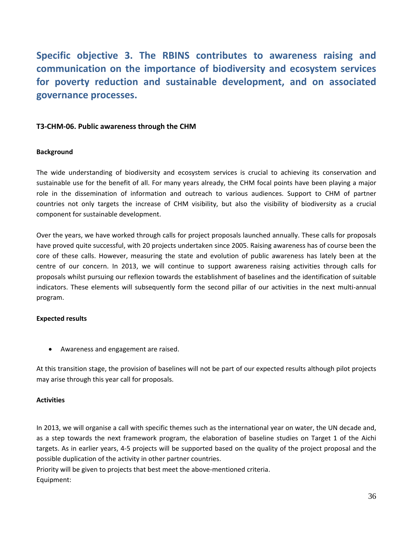**Specific objective 3. The RBINS contributes to awareness raising and communication on the importance of biodiversity and ecosystem services for poverty reduction and sustainable development, and on associated governance processes.**

#### **T3‐CHM‐06. Public awareness through the CHM**

#### **Background**

The wide understanding of biodiversity and ecosystem services is crucial to achieving its conservation and sustainable use for the benefit of all. For many years already, the CHM focal points have been playing a major role in the dissemination of information and outreach to various audiences. Support to CHM of partner countries not only targets the increase of CHM visibility, but also the visibility of biodiversity as a crucial component for sustainable development.

Over the years, we have worked through calls for project proposals launched annually. These calls for proposals have proved quite successful, with 20 projects undertaken since 2005. Raising awareness has of course been the core of these calls. However, measuring the state and evolution of public awareness has lately been at the centre of our concern. In 2013, we will continue to support awareness raising activities through calls for proposals whilst pursuing our reflexion towards the establishment of baselines and the identification of suitable indicators. These elements will subsequently form the second pillar of our activities in the next multi-annual program.

#### **Expected results**

Awareness and engagement are raised.

At this transition stage, the provision of baselines will not be part of our expected results although pilot projects may arise through this year call for proposals.

#### **Activities**

In 2013, we will organise a call with specific themes such as the international year on water, the UN decade and, as a step towards the next framework program, the elaboration of baseline studies on Target 1 of the Aichi targets. As in earlier years, 4‐5 projects will be supported based on the quality of the project proposal and the possible duplication of the activity in other partner countries.

Priority will be given to projects that best meet the above‐mentioned criteria. Equipment: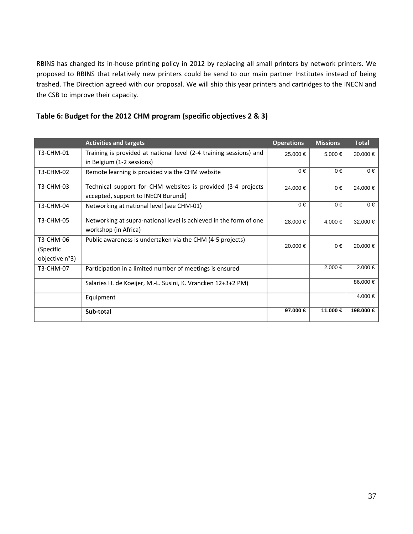RBINS has changed its in‐house printing policy in 2012 by replacing all small printers by network printers. We proposed to RBINS that relatively new printers could be send to our main partner Institutes instead of being trashed. The Direction agreed with our proposal. We will ship this year printers and cartridges to the INECN and the CSB to improve their capacity.

|                | <b>Activities and targets</b>                                      | <b>Operations</b> | <b>Missions</b> | <b>Total</b> |
|----------------|--------------------------------------------------------------------|-------------------|-----------------|--------------|
| T3-CHM-01      | Training is provided at national level (2-4 training sessions) and | 25.000 €          | $5.000 \in$     | $30.000 \in$ |
|                | in Belgium (1-2 sessions)                                          |                   |                 |              |
| T3-CHM-02      | Remote learning is provided via the CHM website                    | $0 \in$           | $0 \in$         | $0 \in$      |
| T3-CHM-03      | Technical support for CHM websites is provided (3-4 projects       | 24.000 €          | $0 \in$         | 24.000 €     |
|                | accepted, support to INECN Burundi)                                |                   |                 |              |
| T3-CHM-04      | Networking at national level (see CHM-01)                          | $0 \in$           | $0 \in$         | $0 \in$      |
| T3-CHM-05      | Networking at supra-national level is achieved in the form of one  | 28.000 €          | 4.000€          | 32.000 €     |
|                | workshop (in Africa)                                               |                   |                 |              |
| T3-CHM-06      | Public awareness is undertaken via the CHM (4-5 projects)          |                   |                 |              |
| (Specific      |                                                                    | 20.000 €          | $0 \in$         | 20.000 €     |
| objective n°3) |                                                                    |                   |                 |              |
| T3-CHM-07      | Participation in a limited number of meetings is ensured           |                   | $2.000 \in$     | $2.000 \in$  |
|                | Salaries H. de Koeijer, M.-L. Susini, K. Vrancken 12+3+2 PM)       |                   |                 | 86.000 €     |
|                | Equipment                                                          |                   |                 | 4.000 €      |
|                | Sub-total                                                          | 97.000 €          | 11.000 €        | 198.000 €    |

#### **Table 6: Budget for the 2012 CHM program (specific objectives 2 & 3)**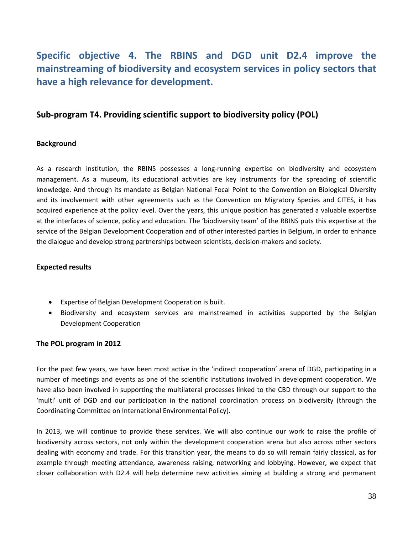### **Specific objective 4. The RBINS and DGD unit D2.4 improve the mainstreaming of biodiversity and ecosystem services in policy sectors that have a high relevance for development.**

#### **Sub‐program T4. Providing scientific support to biodiversity policy (POL)**

#### **Background**

As a research institution, the RBINS possesses a long-running expertise on biodiversity and ecosystem management. As a museum, its educational activities are key instruments for the spreading of scientific knowledge. And through its mandate as Belgian National Focal Point to the Convention on Biological Diversity and its involvement with other agreements such as the Convention on Migratory Species and CITES, it has acquired experience at the policy level. Over the years, this unique position has generated a valuable expertise at the interfaces of science, policy and education. The 'biodiversity team' of the RBINS puts this expertise at the service of the Belgian Development Cooperation and of other interested parties in Belgium, in order to enhance the dialogue and develop strong partnerships between scientists, decision-makers and society.

#### **Expected results**

- Expertise of Belgian Development Cooperation is built.
- Biodiversity and ecosystem services are mainstreamed in activities supported by the Belgian Development Cooperation

#### **The POL program in 2012**

For the past few years, we have been most active in the 'indirect cooperation' arena of DGD, participating in a number of meetings and events as one of the scientific institutions involved in development cooperation. We have also been involved in supporting the multilateral processes linked to the CBD through our support to the 'multi' unit of DGD and our participation in the national coordination process on biodiversity (through the Coordinating Committee on International Environmental Policy).

In 2013, we will continue to provide these services. We will also continue our work to raise the profile of biodiversity across sectors, not only within the development cooperation arena but also across other sectors dealing with economy and trade. For this transition year, the means to do so will remain fairly classical, as for example through meeting attendance, awareness raising, networking and lobbying. However, we expect that closer collaboration with D2.4 will help determine new activities aiming at building a strong and permanent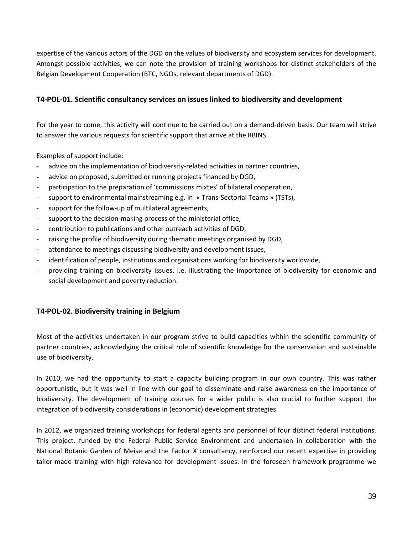expertise of the various actors of the DGD on the values of biodiversity and ecosystem services for development. Amongst possible activities, we can note the provision of training workshops for distinct stakeholders of the Belgian Development Cooperation (BTC, NGOs, relevant departments of DGD).

#### **T4‐POL‐01. Scientific consultancy services on issues linked to biodiversity and development**

For the year to come, this activity will continue to be carried out on a demand‐driven basis. Our team will strive to answer the various requests for scientific support that arrive at the RBINS.

Examples of support include:

- advice on the implementation of biodiversity-related activities in partner countries,
- advice on proposed, submitted or running projects financed by DGD,
- participation to the preparation of 'commissions mixtes' of bilateral cooperation,
- support to environmental mainstreaming e.g. in « Trans-Sectorial Teams » (TSTs),
- support for the follow-up of multilateral agreements,
- support to the decision-making process of the ministerial office,
- contribution to publications and other outreach activities of DGD,
- raising the profile of biodiversity during thematic meetings organised by DGD,
- attendance to meetings discussing biodiversity and development issues,
- identification of people, institutions and organisations working for biodiversity worldwide,
- providing training on biodiversity issues, i.e. illustrating the importance of biodiversity for economic and social development and poverty reduction.

#### **T4‐POL‐02. Biodiversity training in Belgium**

Most of the activities undertaken in our program strive to build capacities within the scientific community of partner countries, acknowledging the critical role of scientific knowledge for the conservation and sustainable use of biodiversity.

In 2010, we had the opportunity to start a capacity building program in our own country. This was rather opportunistic, but it was well in line with our goal to disseminate and raise awareness on the importance of biodiversity. The development of training courses for a wider public is also crucial to further support the integration of biodiversity considerations in (economic) development strategies.

In 2012, we organized training workshops for federal agents and personnel of four distinct federal institutions. This project, funded by the Federal Public Service Environment and undertaken in collaboration with the National Botanic Garden of Meise and the Factor X consultancy, reinforced our recent expertise in providing tailor‐made training with high relevance for development issues. In the foreseen framework programme we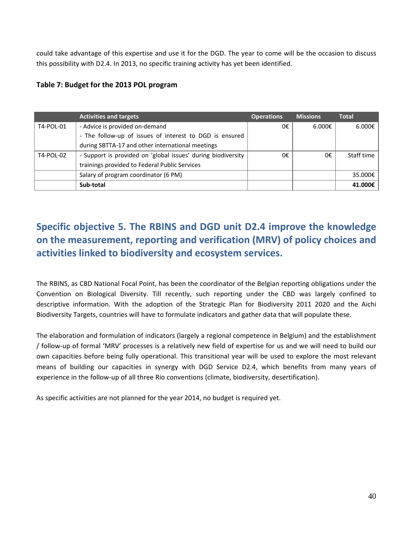could take advantage of this expertise and use it for the DGD. The year to come will be the occasion to discuss this possibility with D2.4. In 2013, no specific training activity has yet been identified.

#### **Table 7: Budget for the 2013 POL program**

|           | <b>Activities and targets</b>                                | <b>Operations</b> | <b>Missions</b>  | <b>Total</b> |
|-----------|--------------------------------------------------------------|-------------------|------------------|--------------|
| T4-POL-01 | - Advice is provided on-demand                               | 0€                | 6.000 $\epsilon$ | 6.000€       |
|           | - The follow-up of issues of interest to DGD is ensured      |                   |                  |              |
|           | during SBTTA-17 and other international meetings             |                   |                  |              |
| T4-POL-02 | - Support is provided on 'global issues' during biodiversity | 0€                | 0€               | Staff time   |
|           | trainings provided to Federal Public Services                |                   |                  |              |
|           | Salary of program coordinator (6 PM)                         |                   |                  | 35.000€      |
|           | Sub-total                                                    |                   |                  | 41.000€      |

### **Specific objective 5. The RBINS and DGD unit D2.4 improve the knowledge on the measurement, reporting and verification (MRV) of policy choices and activities linked to biodiversity and ecosystem services.**

The RBINS, as CBD National Focal Point, has been the coordinator of the Belgian reporting obligations under the Convention on Biological Diversity. Till recently, such reporting under the CBD was largely confined to descriptive information. With the adoption of the Strategic Plan for Biodiversity 2011 2020 and the Aichi Biodiversity Targets, countries will have to formulate indicators and gather data that will populate these.

The elaboration and formulation of indicators (largely a regional competence in Belgium) and the establishment / follow‐up of formal 'MRV' processes is a relatively new field of expertise for us and we will need to build our own capacities before being fully operational. This transitional year will be used to explore the most relevant means of building our capacities in synergy with DGD Service D2.4, which benefits from many years of experience in the follow‐up of all three Rio conventions (climate, biodiversity, desertification).

As specific activities are not planned for the year 2014, no budget is required yet.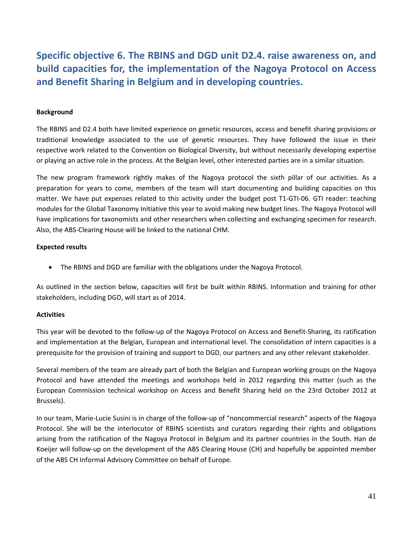**Specific objective 6. The RBINS and DGD unit D2.4. raise awareness on, and build capacities for, the implementation of the Nagoya Protocol on Access and Benefit Sharing in Belgium and in developing countries.**

#### **Background**

The RBINS and D2.4 both have limited experience on genetic resources, access and benefit sharing provisions or traditional knowledge associated to the use of genetic resources. They have followed the issue in their respective work related to the Convention on Biological Diversity, but without necessarily developing expertise or playing an active role in the process. At the Belgian level, other interested parties are in a similar situation.

The new program framework rightly makes of the Nagoya protocol the sixth pillar of our activities. As a preparation for years to come, members of the team will start documenting and building capacities on this matter. We have put expenses related to this activity under the budget post T1‐GTI‐06. GTI reader: teaching modules for the Global Taxonomy Initiative this year to avoid making new budget lines. The Nagoya Protocol will have implications for taxonomists and other researchers when collecting and exchanging specimen for research. Also, the ABS‐Clearing House will be linked to the national CHM.

#### **Expected results**

The RBINS and DGD are familiar with the obligations under the Nagoya Protocol.

As outlined in the section below, capacities will first be built within RBINS. Information and training for other stakeholders, including DGD, will start as of 2014.

#### **Activities**

This year will be devoted to the follow‐up of the Nagoya Protocol on Access and Benefit‐Sharing, its ratification and implementation at the Belgian, European and international level. The consolidation of intern capacities is a prerequisite for the provision of training and support to DGD, our partners and any other relevant stakeholder.

Several members of the team are already part of both the Belgian and European working groups on the Nagoya Protocol and have attended the meetings and workshops held in 2012 regarding this matter (such as the European Commission technical workshop on Access and Benefit Sharing held on the 23rd October 2012 at Brussels).

In our team, Marie‐Lucie Susini is in charge of the follow‐up of "noncommercial research" aspects of the Nagoya Protocol. She will be the interlocutor of RBINS scientists and curators regarding their rights and obligations arising from the ratification of the Nagoya Protocol in Belgium and its partner countries in the South. Han de Koeijer will follow‐up on the development of the ABS Clearing House (CH) and hopefully be appointed member of the ABS CH Informal Advisory Committee on behalf of Europe.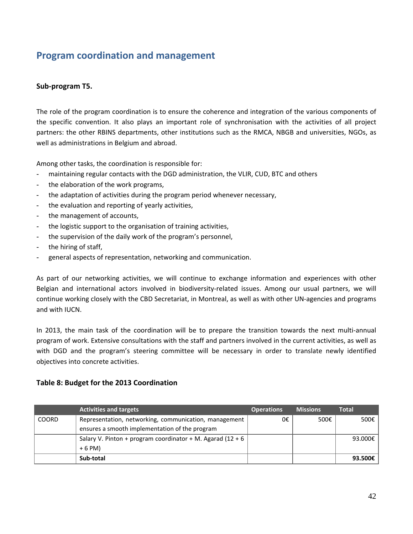### **Program coordination and management**

#### **Sub‐program T5.**

The role of the program coordination is to ensure the coherence and integration of the various components of the specific convention. It also plays an important role of synchronisation with the activities of all project partners: the other RBINS departments, other institutions such as the RMCA, NBGB and universities, NGOs, as well as administrations in Belgium and abroad.

Among other tasks, the coordination is responsible for:

- maintaining regular contacts with the DGD administration, the VLIR, CUD, BTC and others
- the elaboration of the work programs,
- the adaptation of activities during the program period whenever necessary,
- the evaluation and reporting of yearly activities,
- the management of accounts,
- the logistic support to the organisation of training activities,
- the supervision of the daily work of the program's personnel,
- the hiring of staff,
- general aspects of representation, networking and communication.

As part of our networking activities, we will continue to exchange information and experiences with other Belgian and international actors involved in biodiversity-related issues. Among our usual partners, we will continue working closely with the CBD Secretariat, in Montreal, as well as with other UN‐agencies and programs and with IUCN.

In 2013, the main task of the coordination will be to prepare the transition towards the next multi-annual program of work. Extensive consultations with the staff and partners involved in the current activities, as well as with DGD and the program's steering committee will be necessary in order to translate newly identified objectives into concrete activities.

#### **Table 8: Budget for the 2013 Coordination**

|              | <b>Activities and targets</b>                              | <b>Operations</b> | <b>Missions</b> | <b>Total</b> |
|--------------|------------------------------------------------------------|-------------------|-----------------|--------------|
| <b>COORD</b> | Representation, networking, communication, management      | 0€                | 500€            | 500€         |
|              | ensures a smooth implementation of the program             |                   |                 |              |
|              | Salary V. Pinton + program coordinator + M. Agarad (12 + 6 |                   |                 | 93.000€      |
|              | $+6$ PM)                                                   |                   |                 |              |
|              | Sub-total                                                  |                   |                 | 93.500€      |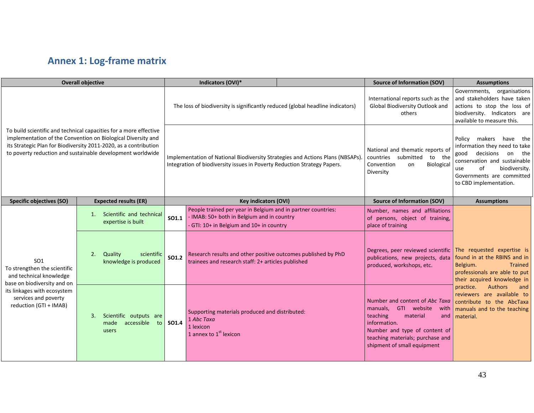### **Annex 1: Log‐frame matrix**

| <b>Overall objective</b>                                                                                                                                                                                                                                            |                                                                   |                                                                                                                                                            | Indicators (OVI)*                                                                                                                                  |                                                                                                               | <b>Source of Information (SOV)</b>                                                                                                                                                                                   | <b>Assumptions</b>                                                                                                                        |  |
|---------------------------------------------------------------------------------------------------------------------------------------------------------------------------------------------------------------------------------------------------------------------|-------------------------------------------------------------------|------------------------------------------------------------------------------------------------------------------------------------------------------------|----------------------------------------------------------------------------------------------------------------------------------------------------|---------------------------------------------------------------------------------------------------------------|----------------------------------------------------------------------------------------------------------------------------------------------------------------------------------------------------------------------|-------------------------------------------------------------------------------------------------------------------------------------------|--|
| To build scientific and technical capacities for a more effective<br>implementation of the Convention on Biological Diversity and<br>its Strategic Plan for Biodiversity 2011-2020, as a contribution<br>to poverty reduction and sustainable development worldwide |                                                                   | The loss of biodiversity is significantly reduced (global headline indicators)                                                                             |                                                                                                                                                    | International reports such as the<br>Global Biodiversity Outlook and<br>others                                | Governments, organisations<br>and stakeholders have taken<br>actions to stop the loss of<br>biodiversity. Indicators are<br>available to measure this.                                                               |                                                                                                                                           |  |
|                                                                                                                                                                                                                                                                     |                                                                   | Implementation of National Biodiversity Strategies and Actions Plans (NBSAPs).<br>Integration of biodiversity issues in Poverty Reduction Strategy Papers. |                                                                                                                                                    | National and thematic reports of<br>countries submitted to the<br>Convention<br>Biological<br>on<br>Diversity | Policy makers have the<br>information they need to take<br>good decisions<br>the<br>on<br>conservation and sustainable<br>of<br>biodiversity.<br>use<br>Governments are committed<br>to CBD implementation.          |                                                                                                                                           |  |
| <b>Specific objectives (SO)</b>                                                                                                                                                                                                                                     | <b>Expected results (ER)</b>                                      | <b>Key indicators (OVI)</b>                                                                                                                                |                                                                                                                                                    | <b>Source of Information (SOV)</b>                                                                            | <b>Assumptions</b>                                                                                                                                                                                                   |                                                                                                                                           |  |
| SO <sub>1</sub><br>To strengthen the scientific<br>and technical knowledge<br>base on biodiversity and on<br>its linkages with ecosystem<br>services and poverty<br>reduction (GTI + IMAB)                                                                          | Scientific and technical<br>1.<br>expertise is built              | SO1.1                                                                                                                                                      | People trained per year in Belgium and in partner countries:<br>IMAB: 50+ both in Belgium and in country<br>GTI: 10+ in Belgium and 10+ in country |                                                                                                               | Number, names and affiliations<br>of persons, object of training,<br>place of training                                                                                                                               |                                                                                                                                           |  |
|                                                                                                                                                                                                                                                                     | Quality<br>2.<br>scientific<br>knowledge is produced              | <b>SO1.2</b>                                                                                                                                               | Research results and other positive outcomes published by PhD<br>trainees and research staff: 2+ articles published                                |                                                                                                               | Degrees, peer reviewed scientific The requested expertise is<br>publications, new projects, data<br>produced, workshops, etc.                                                                                        | found in at the RBINS and in<br>Belgium.<br><b>Trained</b><br>professionals are able to put<br>their acquired knowledge in                |  |
|                                                                                                                                                                                                                                                                     | Scientific outputs are<br>3.<br>accessible<br>made<br>to<br>users | SO1.4                                                                                                                                                      | Supporting materials produced and distributed:<br>1 Abc Taxa<br>1 lexicon<br>1 annex to 1 <sup>st</sup> lexicon                                    |                                                                                                               | Number and content of Abc Taxa<br>GTI website<br>manuals,<br>with<br>teaching<br>material<br>and<br>information.<br>Number and type of content of<br>teaching materials; purchase and<br>shipment of small equipment | practice.<br><b>Authors</b><br>and<br>reviewers are available to<br>contribute to the AbcTaxa<br>manuals and to the teaching<br>material. |  |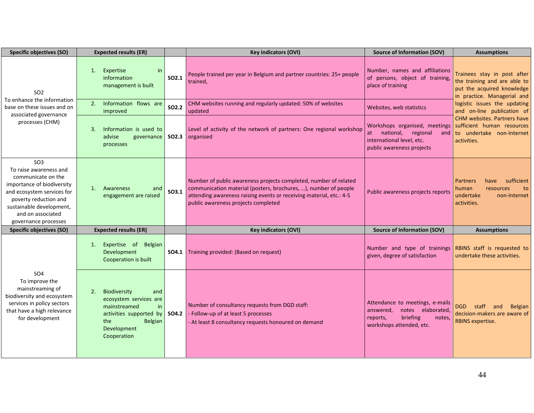| <b>Specific objectives (SO)</b>                                                                                                                                                                                               | <b>Expected results (ER)</b>                                                                                                                                |                   | <b>Key indicators (OVI)</b>                                                                                                                                                                                                                       | <b>Source of Information (SOV)</b>                                                                                              | <b>Assumptions</b>                                                                                                       |
|-------------------------------------------------------------------------------------------------------------------------------------------------------------------------------------------------------------------------------|-------------------------------------------------------------------------------------------------------------------------------------------------------------|-------------------|---------------------------------------------------------------------------------------------------------------------------------------------------------------------------------------------------------------------------------------------------|---------------------------------------------------------------------------------------------------------------------------------|--------------------------------------------------------------------------------------------------------------------------|
| SO <sub>2</sub><br>To enhance the information<br>base on these issues and on<br>associated governance<br>processes (CHM)                                                                                                      | 1. Expertise<br>in<br>information<br>management is built                                                                                                    | SO <sub>2.1</sub> | People trained per year in Belgium and partner countries: 25+ people<br>trained,                                                                                                                                                                  | Number, names and affiliations<br>of persons, object of training,<br>place of training                                          | Trainees stay in post after<br>the training and are able to<br>put the acquired knowledge<br>in practice. Managerial and |
|                                                                                                                                                                                                                               | Information flows are<br>2.<br>improved                                                                                                                     | SO2.2             | CHM websites running and regularly updated: 50% of websites<br>updated                                                                                                                                                                            | Websites, web statistics                                                                                                        | logistic issues the updating<br>and on-line publication of                                                               |
|                                                                                                                                                                                                                               | Information is used to<br>3.<br>advise<br>governance<br>processes                                                                                           |                   | Level of activity of the network of partners: One regional workshop<br>organised                                                                                                                                                                  | Workshops organised, meetings<br>at national, regional and<br>international level, etc.<br>public awareness projects            | CHM websites. Partners have<br>sufficient human resources<br>to undertake non-Internet<br>activities.                    |
| SO <sub>3</sub><br>To raise awareness and<br>communicate on the<br>importance of biodiversity<br>and ecosystem services for<br>poverty reduction and<br>sustainable development,<br>and on associated<br>governance processes | Awareness<br>$\mathbf{1}$ .<br>and<br>engagement are raised                                                                                                 | SO3.1             | Number of public awareness projects completed, number of related<br>communication material (posters, brochures, ), number of people<br>attending awareness raising events or receiving material, etc.: 4-5<br>public awareness projects completed | Public awareness projects reports                                                                                               | sufficient<br><b>Partners</b><br>have<br>human<br>resources<br>to<br>undertake<br>non-Internet<br>activities.            |
| Specific objectives (SO)                                                                                                                                                                                                      | <b>Expected results (ER)</b>                                                                                                                                |                   | <b>Key indicators (OVI)</b>                                                                                                                                                                                                                       | <b>Source of Information (SOV)</b>                                                                                              | <b>Assumptions</b>                                                                                                       |
| SO <sub>4</sub><br>To improve the<br>mainstreaming of<br>biodiversity and ecosystem<br>services in policy sectors<br>that have a high relevance<br>for development                                                            | Expertise of<br>Belgian<br>1.<br>Development<br>Cooperation is built                                                                                        | SO4.1             | Training provided: (Based on request)                                                                                                                                                                                                             | Number and type of trainings RBINS staff is requested to<br>given, degree of satisfaction                                       | undertake these activities.                                                                                              |
|                                                                                                                                                                                                                               | Biodiversity<br>2.<br>and<br>ecosystem services are<br>mainstreamed<br>in<br>activities supported by<br><b>Belgian</b><br>the<br>Development<br>Cooperation | SO4.2             | Number of consultancy requests from DGD staff:<br>- Follow-up of at least 5 processes<br>- At least 8 consultancy requests honoured on demand                                                                                                     | Attendance to meetings, e-mails<br>notes elaborated,<br>answered,<br>briefing<br>reports,<br>notes,<br>workshops attended, etc. | DGD<br>staff<br><b>Belgian</b><br>and<br>decision-makers are aware of<br>RBINS expertise.                                |

L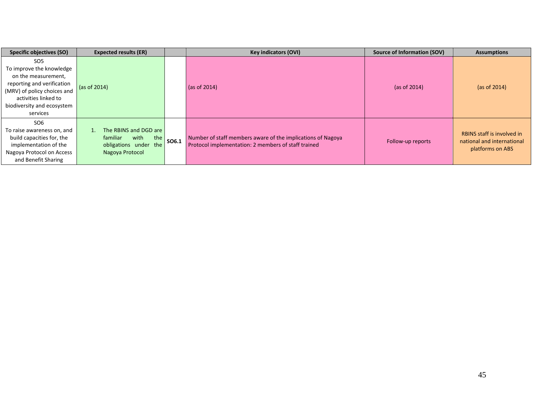| Specific objectives (SO)                                                                                                                                                                          | <b>Key indicators (OVI)</b><br><b>Expected results (ER)</b>                                  |       | Source of Information (SOV)                                                                                        | <b>Assumptions</b> |                                                                                     |
|---------------------------------------------------------------------------------------------------------------------------------------------------------------------------------------------------|----------------------------------------------------------------------------------------------|-------|--------------------------------------------------------------------------------------------------------------------|--------------------|-------------------------------------------------------------------------------------|
| SO <sub>5</sub><br>To improve the knowledge<br>on the measurement,<br>reporting and verification<br>(MRV) of policy choices and<br>activities linked to<br>biodiversity and ecosystem<br>services | (as of 2014)                                                                                 |       | (as of 2014)                                                                                                       | (as of $2014$ )    | (as of $2014$ )                                                                     |
| SO <sub>6</sub><br>To raise awareness on, and<br>build capacities for, the<br>implementation of the<br>Nagoya Protocol on Access<br>and Benefit Sharing                                           | The RBINS and DGD are<br>with<br>familiar<br>the<br>obligations under the<br>Nagoya Protocol | SO6.1 | Number of staff members aware of the implications of Nagoya<br>Protocol implementation: 2 members of staff trained | Follow-up reports  | <b>RBINS</b> staff is involved in<br>national and international<br>platforms on ABS |